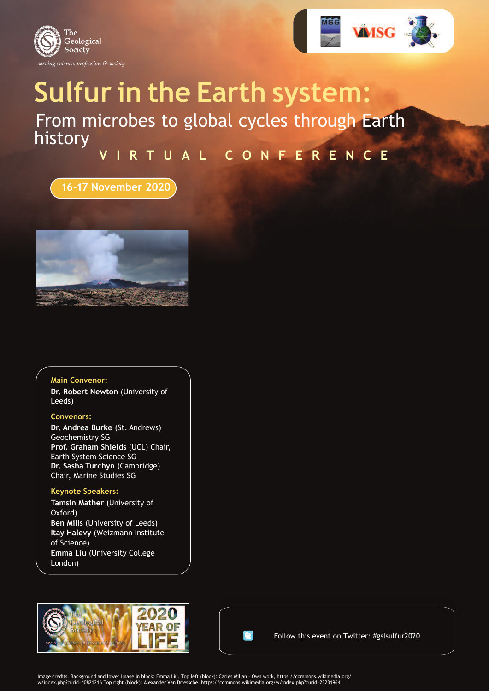



# **Sulfur in the Earth system:** From microbes to global cycles through Earth history

## **V I R T U A L C O N F E R E N C E**

## **16-17 November 2020**



#### **Main Convenor:**

**Dr. Robert Newton** (University of Leeds)

#### **Convenors:**

**Dr. Andrea Burke** (St. Andrews) Geochemistry SG **Prof. Graham Shields** (UCL) Chair, Earth System Science SG **Dr. Sasha Turchyn** (Cambridge) Chair, Marine Studies SG

#### **Keynote Speakers:**

**Tamsin Mather** (University of Oxford) **Ben Mills** (University of Leeds) **Itay Halevy** (Weizmann Institute of Science) **Emma Liu** (University College London)





Follow this event on Twitter: #gslsulfur2020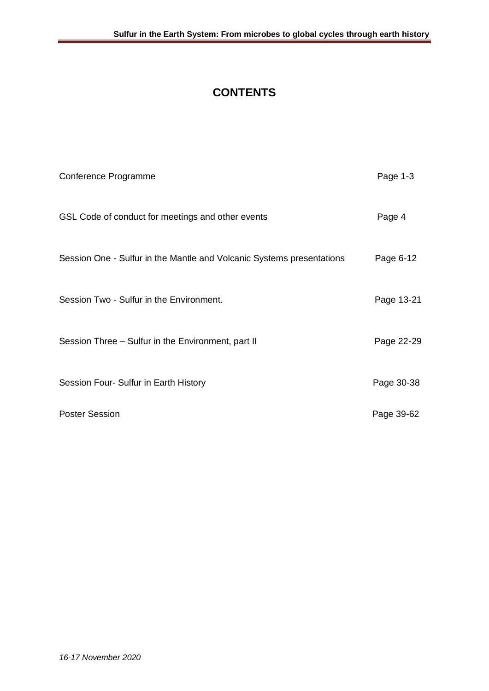## **CONTENTS**

| Conference Programme                                                  | Page 1-3   |
|-----------------------------------------------------------------------|------------|
| GSL Code of conduct for meetings and other events                     | Page 4     |
| Session One - Sulfur in the Mantle and Volcanic Systems presentations | Page 6-12  |
| Session Two - Sulfur in the Environment.                              | Page 13-21 |
| Session Three - Sulfur in the Environment, part II                    | Page 22-29 |
| Session Four- Sulfur in Earth History                                 | Page 30-38 |
| <b>Poster Session</b>                                                 | Page 39-62 |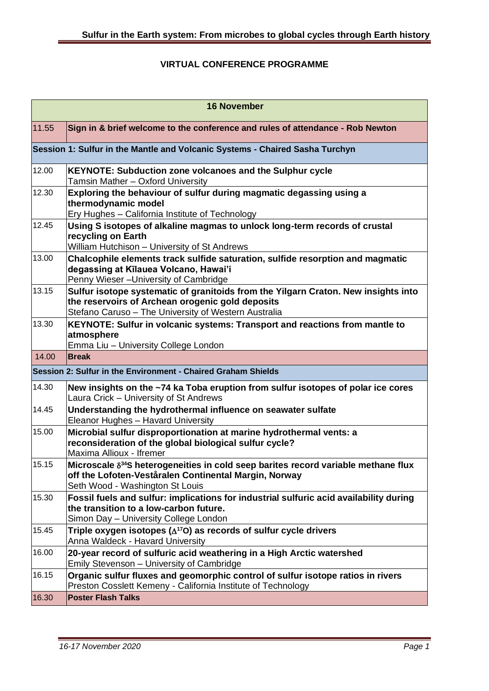#### **VIRTUAL CONFERENCE PROGRAMME**

| <b>16 November</b> |                                                                                                                                                                                                              |
|--------------------|--------------------------------------------------------------------------------------------------------------------------------------------------------------------------------------------------------------|
| 11.55              | Sign in & brief welcome to the conference and rules of attendance - Rob Newton                                                                                                                               |
|                    | Session 1: Sulfur in the Mantle and Volcanic Systems - Chaired Sasha Turchyn                                                                                                                                 |
| 12.00              | <b>KEYNOTE: Subduction zone volcanoes and the Sulphur cycle</b><br>Tamsin Mather - Oxford University                                                                                                         |
| 12.30              | Exploring the behaviour of sulfur during magmatic degassing using a<br>thermodynamic model                                                                                                                   |
| 12.45              | Ery Hughes - California Institute of Technology                                                                                                                                                              |
|                    | Using S isotopes of alkaline magmas to unlock long-term records of crustal<br>recycling on Earth                                                                                                             |
| 13.00              | William Hutchison - University of St Andrews<br>Chalcophile elements track sulfide saturation, sulfide resorption and magmatic                                                                               |
|                    | degassing at Kīlauea Volcano, Hawai'i<br>Penny Wieser - University of Cambridge                                                                                                                              |
| 13.15              | Sulfur isotope systematic of granitoids from the Yilgarn Craton. New insights into<br>the reservoirs of Archean orogenic gold deposits<br>Stefano Caruso - The University of Western Australia               |
| 13.30              | KEYNOTE: Sulfur in volcanic systems: Transport and reactions from mantle to<br>atmosphere<br>Emma Liu - University College London                                                                            |
| 14.00              | <b>Break</b>                                                                                                                                                                                                 |
|                    |                                                                                                                                                                                                              |
|                    | Session 2: Sulfur in the Environment - Chaired Graham Shields                                                                                                                                                |
| 14.30              | New insights on the ~74 ka Toba eruption from sulfur isotopes of polar ice cores<br>Laura Crick - University of St Andrews                                                                                   |
| 14.45              | Understanding the hydrothermal influence on seawater sulfate<br>Eleanor Hughes - Havard University                                                                                                           |
| 15.00              | Microbial sulfur disproportionation at marine hydrothermal vents: a<br>reconsideration of the global biological sulfur cycle?<br>Maxima Allioux - Ifremer                                                    |
| 15.15              | Microscale $\delta^{34}$ S heterogeneities in cold seep barites record variable methane flux<br>off the Lofoten-Veståralen Continental Margin, Norway                                                        |
| 15.30              | Seth Wood - Washington St Louis<br>Fossil fuels and sulfur: implications for industrial sulfuric acid availability during<br>the transition to a low-carbon future.<br>Simon Day - University College London |
| 15.45              | Triple oxygen isotopes ( $\Delta$ <sup>17</sup> O) as records of sulfur cycle drivers<br>Anna Waldeck - Havard University                                                                                    |
| 16.00              | 20-year record of sulfuric acid weathering in a High Arctic watershed                                                                                                                                        |
| 16.15              | Emily Stevenson - University of Cambridge<br>Organic sulfur fluxes and geomorphic control of sulfur isotope ratios in rivers<br>Preston Cosslett Kemeny - California Institute of Technology                 |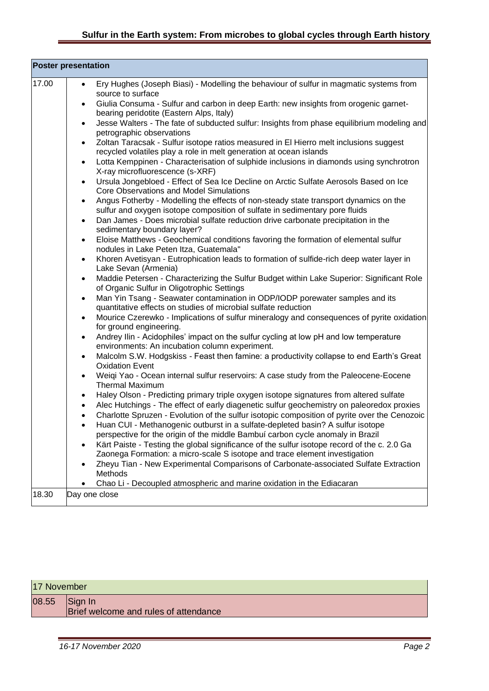## **Sulfur in the Earth system: From microbes to global cycles through Earth history**

| <b>Poster presentation</b> |                                                                                                                                                                                                        |  |
|----------------------------|--------------------------------------------------------------------------------------------------------------------------------------------------------------------------------------------------------|--|
| 17.00                      | Ery Hughes (Joseph Biasi) - Modelling the behaviour of sulfur in magmatic systems from<br>$\bullet$<br>source to surface                                                                               |  |
|                            | Giulia Consuma - Sulfur and carbon in deep Earth: new insights from orogenic garnet-<br>$\bullet$<br>bearing peridotite (Eastern Alps, Italy)                                                          |  |
|                            | Jesse Walters - The fate of subducted sulfur: Insights from phase equilibrium modeling and<br>$\bullet$<br>petrographic observations                                                                   |  |
|                            | Zoltan Taracsak - Sulfur isotope ratios measured in El Hierro melt inclusions suggest<br>recycled volatiles play a role in melt generation at ocean islands                                            |  |
|                            | Lotta Kemppinen - Characterisation of sulphide inclusions in diamonds using synchrotron<br>X-ray microfluorescence (s-XRF)                                                                             |  |
|                            | Ursula Jongebloed - Effect of Sea Ice Decline on Arctic Sulfate Aerosols Based on Ice<br>$\bullet$<br>Core Observations and Model Simulations                                                          |  |
|                            | Angus Fotherby - Modelling the effects of non-steady state transport dynamics on the<br>sulfur and oxygen isotope composition of sulfate in sedimentary pore fluids                                    |  |
|                            | Dan James - Does microbial sulfate reduction drive carbonate precipitation in the<br>sedimentary boundary layer?                                                                                       |  |
|                            | Eloise Matthews - Geochemical conditions favoring the formation of elemental sulfur<br>nodules in Lake Peten Itza, Guatemala"                                                                          |  |
|                            | Khoren Avetisyan - Eutrophication leads to formation of sulfide-rich deep water layer in<br>$\bullet$<br>Lake Sevan (Armenia)                                                                          |  |
|                            | Maddie Petersen - Characterizing the Sulfur Budget within Lake Superior: Significant Role<br>$\bullet$<br>of Organic Sulfur in Oligotrophic Settings                                                   |  |
|                            | Man Yin Tsang - Seawater contamination in ODP/IODP porewater samples and its<br>$\bullet$<br>quantitative effects on studies of microbial sulfate reduction                                            |  |
|                            | Mourice Czerewko - Implications of sulfur mineralogy and consequences of pyrite oxidation<br>$\bullet$<br>for ground engineering.                                                                      |  |
|                            | Andrey Ilin - Acidophiles' impact on the sulfur cycling at low pH and low temperature<br>$\bullet$<br>environments: An incubation column experiment.                                                   |  |
|                            | Malcolm S.W. Hodgskiss - Feast then famine: a productivity collapse to end Earth's Great<br>$\bullet$<br><b>Oxidation Event</b>                                                                        |  |
|                            | Weiqi Yao - Ocean internal sulfur reservoirs: A case study from the Paleocene-Eocene<br>$\bullet$<br><b>Thermal Maximum</b>                                                                            |  |
|                            | Haley Olson - Predicting primary triple oxygen isotope signatures from altered sulfate<br>$\bullet$                                                                                                    |  |
|                            | Alec Hutchings - The effect of early diagenetic sulfur geochemistry on paleoredox proxies<br>$\bullet$<br>Charlotte Spruzen - Evolution of the sulfur isotopic composition of pyrite over the Cenozoic |  |
|                            | Huan CUI - Methanogenic outburst in a sulfate-depleted basin? A sulfur isotope                                                                                                                         |  |
|                            | perspective for the origin of the middle Bambuí carbon cycle anomaly in Brazil                                                                                                                         |  |
|                            | Kärt Paiste - Testing the global significance of the sulfur isotope record of the c. 2.0 Ga<br>Zaonega Formation: a micro-scale S isotope and trace element investigation                              |  |
|                            | Zheyu Tian - New Experimental Comparisons of Carbonate-associated Sulfate Extraction<br>Methods                                                                                                        |  |
|                            | Chao Li - Decoupled atmospheric and marine oxidation in the Ediacaran                                                                                                                                  |  |
| 18.30                      | Day one close                                                                                                                                                                                          |  |

| 17 November |                                                  |
|-------------|--------------------------------------------------|
| 08.55       | Sign In<br>Brief welcome and rules of attendance |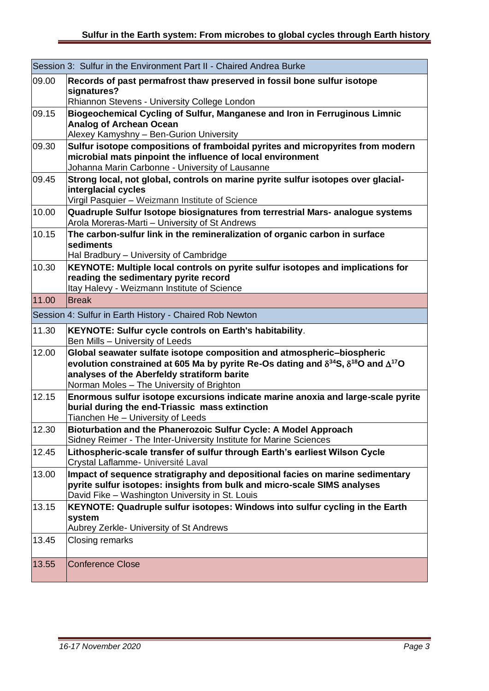|       | Session 3: Sulfur in the Environment Part II - Chaired Andrea Burke                                                                                                                                                                                                                   |
|-------|---------------------------------------------------------------------------------------------------------------------------------------------------------------------------------------------------------------------------------------------------------------------------------------|
| 09.00 | Records of past permafrost thaw preserved in fossil bone sulfur isotope<br>signatures?<br>Rhiannon Stevens - University College London                                                                                                                                                |
| 09.15 | Biogeochemical Cycling of Sulfur, Manganese and Iron in Ferruginous Limnic<br><b>Analog of Archean Ocean</b><br>Alexey Kamyshny - Ben-Gurion University                                                                                                                               |
| 09.30 | Sulfur isotope compositions of framboidal pyrites and micropyrites from modern<br>microbial mats pinpoint the influence of local environment<br>Johanna Marin Carbonne - University of Lausanne                                                                                       |
| 09.45 | Strong local, not global, controls on marine pyrite sulfur isotopes over glacial-<br>interglacial cycles<br>Virgil Pasquier - Weizmann Institute of Science                                                                                                                           |
| 10.00 | Quadruple Sulfur Isotope biosignatures from terrestrial Mars- analogue systems<br>Arola Moreras-Marti - University of St Andrews                                                                                                                                                      |
| 10.15 | The carbon-sulfur link in the remineralization of organic carbon in surface<br>sediments<br>Hal Bradbury - University of Cambridge                                                                                                                                                    |
| 10.30 | KEYNOTE: Multiple local controls on pyrite sulfur isotopes and implications for<br>reading the sedimentary pyrite record<br>Itay Halevy - Weizmann Institute of Science                                                                                                               |
| 11.00 | <b>Break</b>                                                                                                                                                                                                                                                                          |
|       | Session 4: Sulfur in Earth History - Chaired Rob Newton                                                                                                                                                                                                                               |
| 11.30 | KEYNOTE: Sulfur cycle controls on Earth's habitability.<br>Ben Mills - University of Leeds                                                                                                                                                                                            |
| 12.00 | Global seawater sulfate isotope composition and atmospheric-biospheric<br>evolution constrained at 605 Ma by pyrite Re-Os dating and $\delta^{34}$ S, $\delta^{18}$ O and $\Delta^{17}$ O<br>analyses of the Aberfeldy stratiform barite<br>Norman Moles - The University of Brighton |
| 12.15 | Enormous sulfur isotope excursions indicate marine anoxia and large-scale pyrite<br>burial during the end-Triassic mass extinction<br>Tianchen He - University of Leeds                                                                                                               |
| 12.30 | Bioturbation and the Phanerozoic Sulfur Cycle: A Model Approach<br>Sidney Reimer - The Inter-University Institute for Marine Sciences                                                                                                                                                 |
| 12.45 | Lithospheric-scale transfer of sulfur through Earth's earliest Wilson Cycle<br>Crystal Laflamme- Université Laval                                                                                                                                                                     |
| 13.00 | Impact of sequence stratigraphy and depositional facies on marine sedimentary<br>pyrite sulfur isotopes: insights from bulk and micro-scale SIMS analyses<br>David Fike - Washington University in St. Louis                                                                          |
| 13.15 | KEYNOTE: Quadruple sulfur isotopes: Windows into sulfur cycling in the Earth<br>system<br>Aubrey Zerkle- University of St Andrews                                                                                                                                                     |
| 13.45 | Closing remarks                                                                                                                                                                                                                                                                       |
| 13.55 | <b>Conference Close</b>                                                                                                                                                                                                                                                               |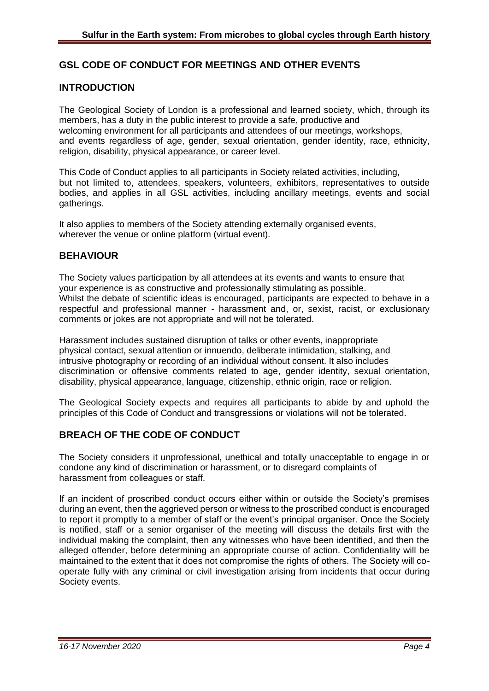#### **GSL CODE OF CONDUCT FOR MEETINGS AND OTHER EVENTS**

#### **INTRODUCTION**

The Geological Society of London is a professional and learned society, which, through its members, has a duty in the public interest to provide a safe, productive and welcoming environment for all participants and attendees of our meetings, workshops, and events regardless of age, gender, sexual orientation, gender identity, race, ethnicity, religion, disability, physical appearance, or career level.

This Code of Conduct applies to all participants in Society related activities, including, but not limited to, attendees, speakers, volunteers, exhibitors, representatives to outside bodies, and applies in all GSL activities, including ancillary meetings, events and social gatherings.

It also applies to members of the Society attending externally organised events, wherever the venue or online platform (virtual event).

#### **BEHAVIOUR**

The Society values participation by all attendees at its events and wants to ensure that your experience is as constructive and professionally stimulating as possible. Whilst the debate of scientific ideas is encouraged, participants are expected to behave in a respectful and professional manner - harassment and, or, sexist, racist, or exclusionary comments or jokes are not appropriate and will not be tolerated.

Harassment includes sustained disruption of talks or other events, inappropriate physical contact, sexual attention or innuendo, deliberate intimidation, stalking, and intrusive photography or recording of an individual without consent. It also includes discrimination or offensive comments related to age, gender identity, sexual orientation, disability, physical appearance, language, citizenship, ethnic origin, race or religion.

The Geological Society expects and requires all participants to abide by and uphold the principles of this Code of Conduct and transgressions or violations will not be tolerated.

#### **BREACH OF THE CODE OF CONDUCT**

The Society considers it unprofessional, unethical and totally unacceptable to engage in or condone any kind of discrimination or harassment, or to disregard complaints of harassment from colleagues or staff.

If an incident of proscribed conduct occurs either within or outside the Society's premises during an event, then the aggrieved person or witness to the proscribed conduct is encouraged to report it promptly to a member of staff or the event's principal organiser. Once the Society is notified, staff or a senior organiser of the meeting will discuss the details first with the individual making the complaint, then any witnesses who have been identified, and then the alleged offender, before determining an appropriate course of action. Confidentiality will be maintained to the extent that it does not compromise the rights of others. The Society will cooperate fully with any criminal or civil investigation arising from incidents that occur during Society events.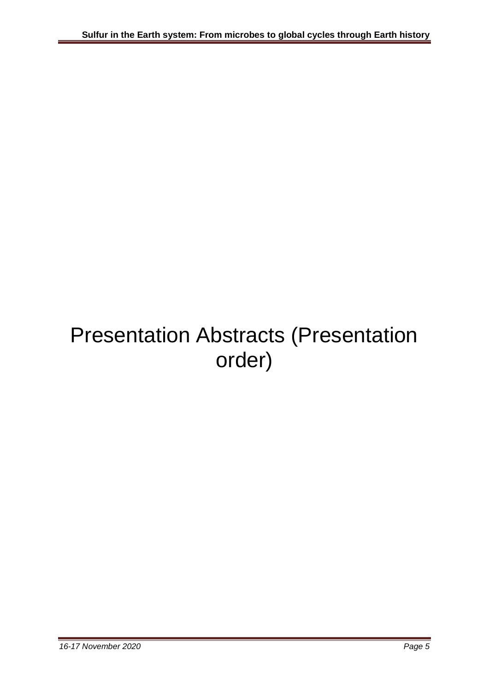# Presentation Abstracts (Presentation order)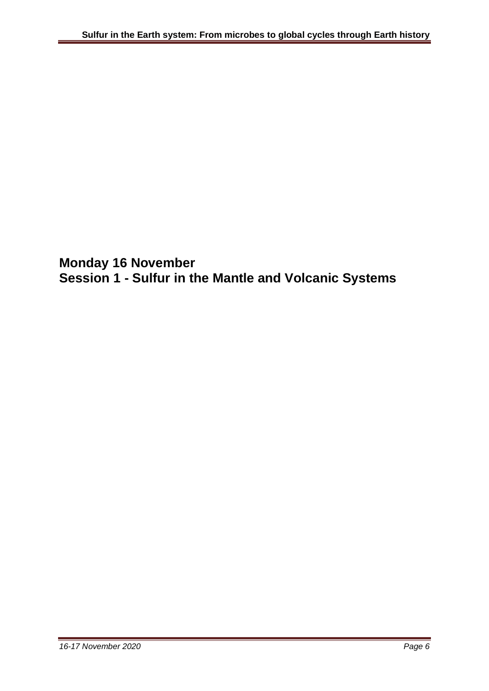**Monday 16 November Session 1 - Sulfur in the Mantle and Volcanic Systems**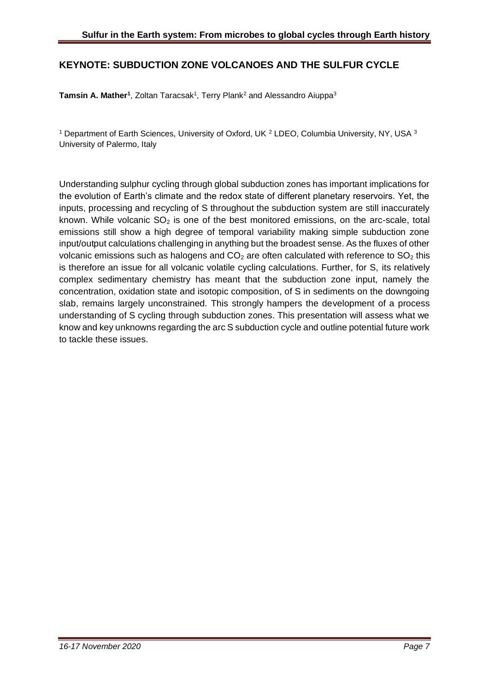#### **KEYNOTE: SUBDUCTION ZONE VOLCANOES AND THE SULFUR CYCLE**

**Tamsin A. Mather<sup>1</sup>, Zoltan Taracsak<sup>1</sup>, Terry Plank<sup>2</sup> and Alessandro Aiuppa<sup>3</sup>** 

<sup>1</sup> Department of Earth Sciences, University of Oxford, UK  $^2$  LDEO, Columbia University, NY, USA  $^3$ University of Palermo, Italy

Understanding sulphur cycling through global subduction zones has important implications for the evolution of Earth's climate and the redox state of different planetary reservoirs. Yet, the inputs, processing and recycling of S throughout the subduction system are still inaccurately known. While volcanic  $SO<sub>2</sub>$  is one of the best monitored emissions, on the arc-scale, total emissions still show a high degree of temporal variability making simple subduction zone input/output calculations challenging in anything but the broadest sense. As the fluxes of other volcanic emissions such as halogens and  $CO<sub>2</sub>$  are often calculated with reference to  $SO<sub>2</sub>$  this is therefore an issue for all volcanic volatile cycling calculations. Further, for S, its relatively complex sedimentary chemistry has meant that the subduction zone input, namely the concentration, oxidation state and isotopic composition, of S in sediments on the downgoing slab, remains largely unconstrained. This strongly hampers the development of a process understanding of S cycling through subduction zones. This presentation will assess what we know and key unknowns regarding the arc S subduction cycle and outline potential future work to tackle these issues.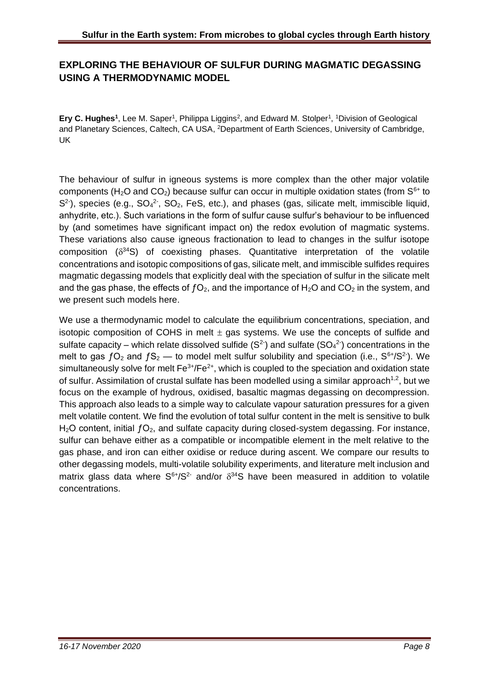## **EXPLORING THE BEHAVIOUR OF SULFUR DURING MAGMATIC DEGASSING USING A THERMODYNAMIC MODEL**

Ery C. Hughes<sup>1</sup>, Lee M. Saper<sup>1</sup>, Philippa Liggins<sup>2</sup>, and Edward M. Stolper<sup>1</sup>, <sup>1</sup>Division of Geological and Planetary Sciences, Caltech, CA USA, <sup>2</sup>Department of Earth Sciences, University of Cambridge, UK

The behaviour of sulfur in igneous systems is more complex than the other major volatile components (H<sub>2</sub>O and CO<sub>2</sub>) because sulfur can occur in multiple oxidation states (from  $S^{6+}$  to  $S<sup>2</sup>$ ), species (e.g.,  $SO<sub>4</sub><sup>2</sup>$ ,  $SO<sub>2</sub>$ , FeS, etc.), and phases (gas, silicate melt, immiscible liquid, anhydrite, etc.). Such variations in the form of sulfur cause sulfur's behaviour to be influenced by (and sometimes have significant impact on) the redox evolution of magmatic systems. These variations also cause igneous fractionation to lead to changes in the sulfur isotope composition  $(\delta^{34}S)$  of coexisting phases. Quantitative interpretation of the volatile concentrations and isotopic compositions of gas, silicate melt, and immiscible sulfides requires magmatic degassing models that explicitly deal with the speciation of sulfur in the silicate melt and the gas phase, the effects of  $fO<sub>2</sub>$ , and the importance of H<sub>2</sub>O and CO<sub>2</sub> in the system, and we present such models here.

We use a thermodynamic model to calculate the equilibrium concentrations, speciation, and isotopic composition of COHS in melt  $\pm$  gas systems. We use the concepts of sulfide and sulfate capacity – which relate dissolved sulfide  $(S^2)$  and sulfate  $(SO_4^2)$  concentrations in the melt to gas  $fO_2$  and  $fS_2$  — to model melt sulfur solubility and speciation (i.e.,  $S^{6+}/S^2$ ). We simultaneously solve for melt  $\text{Fe}^{3+}/\text{Fe}^{2+}$ , which is coupled to the speciation and oxidation state of sulfur. Assimilation of crustal sulfate has been modelled using a similar approach<sup>1,2</sup>, but we focus on the example of hydrous, oxidised, basaltic magmas degassing on decompression. This approach also leads to a simple way to calculate vapour saturation pressures for a given melt volatile content. We find the evolution of total sulfur content in the melt is sensitive to bulk  $H<sub>2</sub>O$  content, initial  $fO<sub>2</sub>$ , and sulfate capacity during closed-system degassing. For instance, sulfur can behave either as a compatible or incompatible element in the melt relative to the gas phase, and iron can either oxidise or reduce during ascent. We compare our results to other degassing models, multi-volatile solubility experiments, and literature melt inclusion and matrix glass data where  $S^{6+}/S^2$  and/or  $\delta^{34}S$  have been measured in addition to volatile concentrations.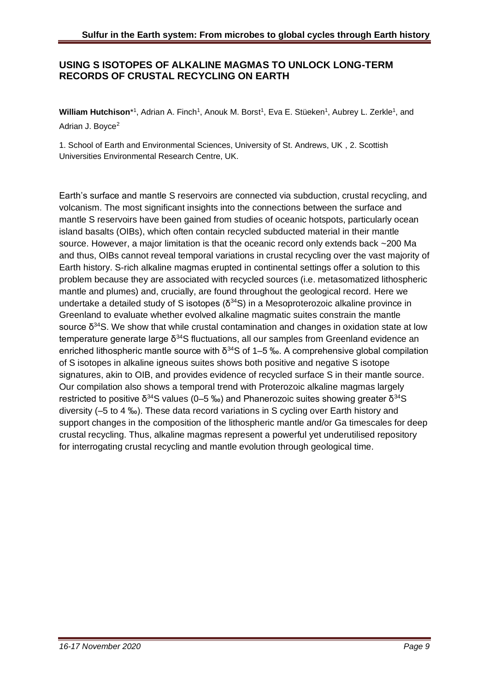#### **USING S ISOTOPES OF ALKALINE MAGMAS TO UNLOCK LONG-TERM RECORDS OF CRUSTAL RECYCLING ON EARTH**

William Hutchison<sup>\*1</sup>, Adrian A. Finch<sup>1</sup>, Anouk M. Borst<sup>1</sup>, Eva E. Stüeken<sup>1</sup>, Aubrey L. Zerkle<sup>1</sup>, and Adrian J. Boyce<sup>2</sup>

1. School of Earth and Environmental Sciences, University of St. Andrews, UK , 2. Scottish Universities Environmental Research Centre, UK.

Earth's surface and mantle S reservoirs are connected via subduction, crustal recycling, and volcanism. The most significant insights into the connections between the surface and mantle S reservoirs have been gained from studies of oceanic hotspots, particularly ocean island basalts (OIBs), which often contain recycled subducted material in their mantle source. However, a major limitation is that the oceanic record only extends back ~200 Ma and thus, OIBs cannot reveal temporal variations in crustal recycling over the vast majority of Earth history. S-rich alkaline magmas erupted in continental settings offer a solution to this problem because they are associated with recycled sources (i.e. metasomatized lithospheric mantle and plumes) and, crucially, are found throughout the geological record. Here we undertake a detailed study of S isotopes ( $\delta^{34}$ S) in a Mesoproterozoic alkaline province in Greenland to evaluate whether evolved alkaline magmatic suites constrain the mantle source  $\delta^{34}S$ . We show that while crustal contamination and changes in oxidation state at low temperature generate large  $\delta^{34}$ S fluctuations, all our samples from Greenland evidence an enriched lithospheric mantle source with  $\delta^{34}$ S of 1–5 ‰. A comprehensive global compilation of S isotopes in alkaline igneous suites shows both positive and negative S isotope signatures, akin to OIB, and provides evidence of recycled surface S in their mantle source. Our compilation also shows a temporal trend with Proterozoic alkaline magmas largely restricted to positive δ<sup>34</sup>S values (0–5 ‰) and Phanerozoic suites showing greater δ<sup>34</sup>S diversity (–5 to 4 ‰). These data record variations in S cycling over Earth history and support changes in the composition of the lithospheric mantle and/or Ga timescales for deep crustal recycling. Thus, alkaline magmas represent a powerful yet underutilised repository for interrogating crustal recycling and mantle evolution through geological time.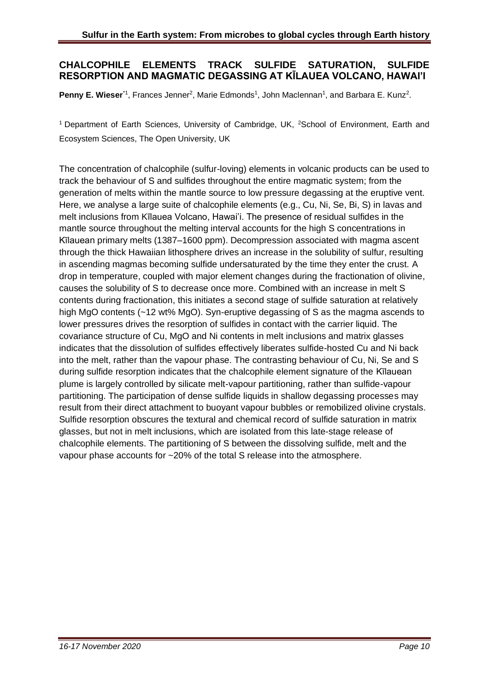#### **CHALCOPHILE ELEMENTS TRACK SULFIDE SATURATION, SULFIDE RESORPTION AND MAGMATIC DEGASSING AT KĪLAUEA VOLCANO, HAWAI'I**

Penny E. Wieser<sup>\*1</sup>, Frances Jenner<sup>2</sup>, Marie Edmonds<sup>1</sup>, John Maclennan<sup>1</sup>, and Barbara E. Kunz<sup>2</sup>.

<sup>1</sup> Department of Earth Sciences, University of Cambridge, UK, <sup>2</sup>School of Environment, Earth and Ecosystem Sciences, The Open University, UK

The concentration of chalcophile (sulfur-loving) elements in volcanic products can be used to track the behaviour of S and sulfides throughout the entire magmatic system; from the generation of melts within the mantle source to low pressure degassing at the eruptive vent. Here, we analyse a large suite of chalcophile elements (e.g., Cu, Ni, Se, Bi, S) in lavas and melt inclusions from Kīlauea Volcano, Hawai'i. The presence of residual sulfides in the mantle source throughout the melting interval accounts for the high S concentrations in Kīlauean primary melts (1387–1600 ppm). Decompression associated with magma ascent through the thick Hawaiian lithosphere drives an increase in the solubility of sulfur, resulting in ascending magmas becoming sulfide undersaturated by the time they enter the crust. A drop in temperature, coupled with major element changes during the fractionation of olivine, causes the solubility of S to decrease once more. Combined with an increase in melt S contents during fractionation, this initiates a second stage of sulfide saturation at relatively high MgO contents (~12 wt% MgO). Syn-eruptive degassing of S as the magma ascends to lower pressures drives the resorption of sulfides in contact with the carrier liquid. The covariance structure of Cu, MgO and Ni contents in melt inclusions and matrix glasses indicates that the dissolution of sulfides effectively liberates sulfide-hosted Cu and Ni back into the melt, rather than the vapour phase. The contrasting behaviour of Cu, Ni, Se and S during sulfide resorption indicates that the chalcophile element signature of the Kīlauean plume is largely controlled by silicate melt-vapour partitioning, rather than sulfide-vapour partitioning. The participation of dense sulfide liquids in shallow degassing processes may result from their direct attachment to buoyant vapour bubbles or remobilized olivine crystals. Sulfide resorption obscures the textural and chemical record of sulfide saturation in matrix glasses, but not in melt inclusions, which are isolated from this late-stage release of chalcophile elements. The partitioning of S between the dissolving sulfide, melt and the vapour phase accounts for ~20% of the total S release into the atmosphere.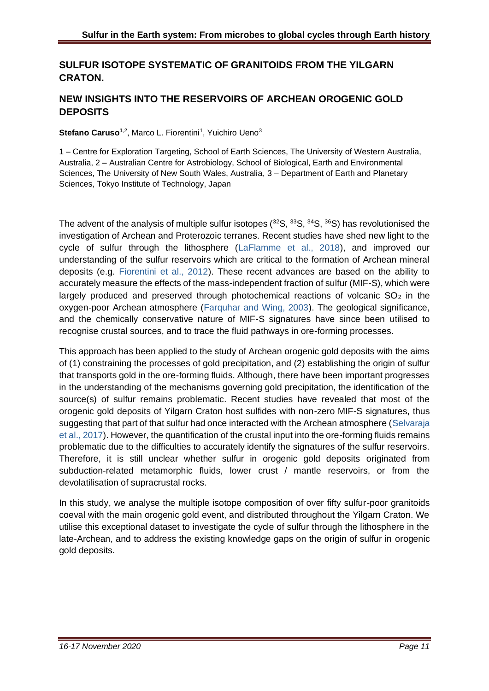## **SULFUR ISOTOPE SYSTEMATIC OF GRANITOIDS FROM THE YILGARN CRATON.**

## **NEW INSIGHTS INTO THE RESERVOIRS OF ARCHEAN OROGENIC GOLD DEPOSITS**

Stefano Caruso<sup>1,2</sup>, Marco L. Fiorentini<sup>1</sup>, Yuichiro Ueno<sup>3</sup>

1 – Centre for Exploration Targeting, School of Earth Sciences, The University of Western Australia, Australia, 2 – Australian Centre for Astrobiology, School of Biological, Earth and Environmental Sciences, The University of New South Wales, Australia, 3 – Department of Earth and Planetary Sciences, Tokyo Institute of Technology, Japan

The advent of the analysis of multiple sulfur isotopes  $(^{32}S, ^{33}S, ^{34}S, ^{36}S)$  has revolutionised the investigation of Archean and Proterozoic terranes. Recent studies have shed new light to the cycle of sulfur through the lithosphere (LaFlamme et al., 2018), and improved our understanding of the sulfur reservoirs which are critical to the formation of Archean mineral deposits (e.g. Fiorentini et al., 2012). These recent advances are based on the ability to accurately measure the effects of the mass-independent fraction of sulfur (MIF-S), which were largely produced and preserved through photochemical reactions of volcanic  $SO<sub>2</sub>$  in the oxygen-poor Archean atmosphere (Farquhar and Wing, 2003). The geological significance, and the chemically conservative nature of MIF-S signatures have since been utilised to recognise crustal sources, and to trace the fluid pathways in ore-forming processes.

This approach has been applied to the study of Archean orogenic gold deposits with the aims of (1) constraining the processes of gold precipitation, and (2) establishing the origin of sulfur that transports gold in the ore-forming fluids. Although, there have been important progresses in the understanding of the mechanisms governing gold precipitation, the identification of the source(s) of sulfur remains problematic. Recent studies have revealed that most of the orogenic gold deposits of Yilgarn Craton host sulfides with non-zero MIF-S signatures, thus suggesting that part of that sulfur had once interacted with the Archean atmosphere (Selvaraja et al., 2017). However, the quantification of the crustal input into the ore-forming fluids remains problematic due to the difficulties to accurately identify the signatures of the sulfur reservoirs. Therefore, it is still unclear whether sulfur in orogenic gold deposits originated from subduction-related metamorphic fluids, lower crust / mantle reservoirs, or from the devolatilisation of supracrustal rocks.

In this study, we analyse the multiple isotope composition of over fifty sulfur-poor granitoids coeval with the main orogenic gold event, and distributed throughout the Yilgarn Craton. We utilise this exceptional dataset to investigate the cycle of sulfur through the lithosphere in the late-Archean, and to address the existing knowledge gaps on the origin of sulfur in orogenic gold deposits.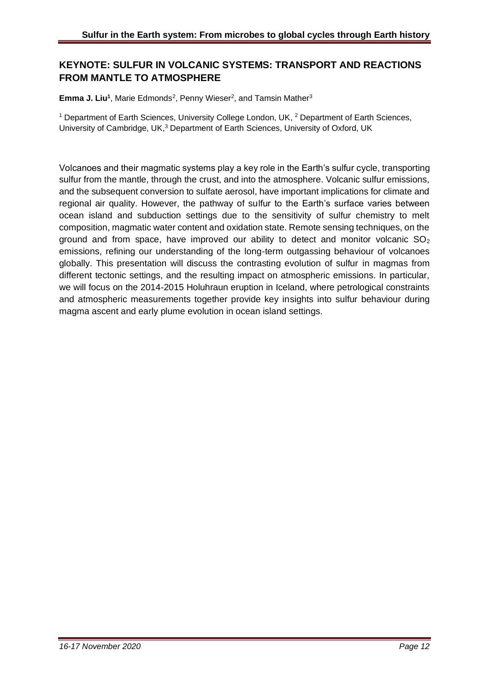## **KEYNOTE: SULFUR IN VOLCANIC SYSTEMS: TRANSPORT AND REACTIONS FROM MANTLE TO ATMOSPHERE**

**Emma J. Liu<sup>1</sup>**, Marie Edmonds<sup>2</sup>, Penny Wieser<sup>2</sup>, and Tamsin Mather<sup>3</sup>

<sup>1</sup> Department of Earth Sciences, University College London, UK, <sup>2</sup> Department of Earth Sciences, University of Cambridge, UK,<sup>3</sup> Department of Earth Sciences, University of Oxford, UK

Volcanoes and their magmatic systems play a key role in the Earth's sulfur cycle, transporting sulfur from the mantle, through the crust, and into the atmosphere. Volcanic sulfur emissions, and the subsequent conversion to sulfate aerosol, have important implications for climate and regional air quality. However, the pathway of sulfur to the Earth's surface varies between ocean island and subduction settings due to the sensitivity of sulfur chemistry to melt composition, magmatic water content and oxidation state. Remote sensing techniques, on the ground and from space, have improved our ability to detect and monitor volcanic  $SO<sub>2</sub>$ emissions, refining our understanding of the long-term outgassing behaviour of volcanoes globally. This presentation will discuss the contrasting evolution of sulfur in magmas from different tectonic settings, and the resulting impact on atmospheric emissions. In particular, we will focus on the 2014-2015 Holuhraun eruption in Iceland, where petrological constraints and atmospheric measurements together provide key insights into sulfur behaviour during magma ascent and early plume evolution in ocean island settings.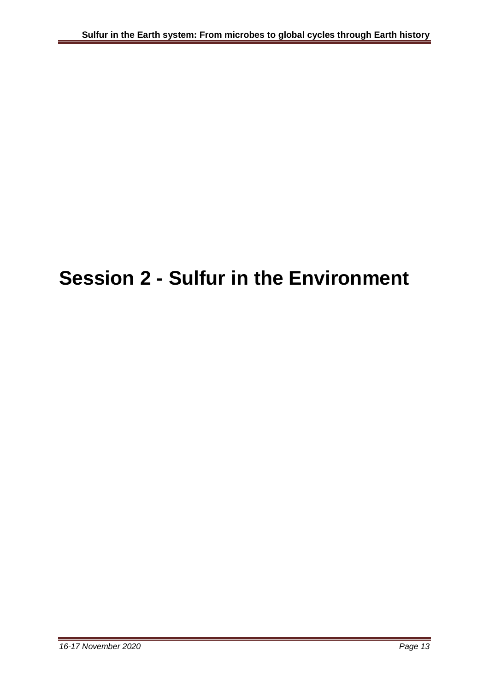# **Session 2 - Sulfur in the Environment**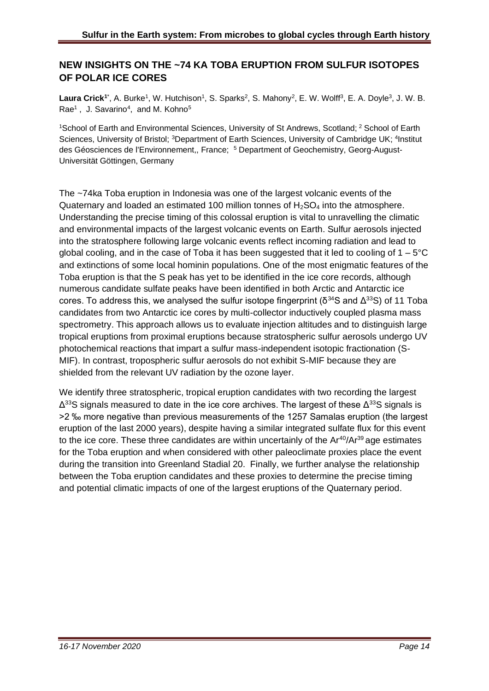## **NEW INSIGHTS ON THE ~74 KA TOBA ERUPTION FROM SULFUR ISOTOPES OF POLAR ICE CORES**

Laura Crick<sup>1\*</sup>, A. Burke<sup>1</sup>, W. Hutchison<sup>1</sup>, S. Sparks<sup>2</sup>, S. Mahony<sup>2</sup>, E. W. Wolff<sup>3</sup>, E. A. Doyle<sup>3</sup>, J. W. B. Rae<sup>1</sup>, J. Savarino<sup>4</sup>, and M. Kohno<sup>5</sup>

<sup>1</sup>School of Earth and Environmental Sciences, University of St Andrews, Scotland; <sup>2</sup> School of Earth Sciences, University of Bristol; <sup>3</sup>Department of Earth Sciences, University of Cambridge UK; <sup>4</sup>Institut des Géosciences de l'Environnement,, France; <sup>5</sup> Department of Geochemistry, Georg-August-Universität Göttingen, Germany

The ~74ka Toba eruption in Indonesia was one of the largest volcanic events of the Quaternary and loaded an estimated 100 million tonnes of  $H_2SO_4$  into the atmosphere. Understanding the precise timing of this colossal eruption is vital to unravelling the climatic and environmental impacts of the largest volcanic events on Earth. Sulfur aerosols injected into the stratosphere following large volcanic events reflect incoming radiation and lead to global cooling, and in the case of Toba it has been suggested that it led to cooling of  $1 - 5^{\circ}$ C and extinctions of some local hominin populations. One of the most enigmatic features of the Toba eruption is that the S peak has yet to be identified in the ice core records, although numerous candidate sulfate peaks have been identified in both Arctic and Antarctic ice cores. To address this, we analysed the sulfur isotope fingerprint ( $\delta^{34}$ S and  $\Delta^{33}$ S) of 11 Toba candidates from two Antarctic ice cores by multi-collector inductively coupled plasma mass spectrometry. This approach allows us to evaluate injection altitudes and to distinguish large tropical eruptions from proximal eruptions because stratospheric sulfur aerosols undergo UV photochemical reactions that impart a sulfur mass-independent isotopic fractionation (S-MIF). In contrast, tropospheric sulfur aerosols do not exhibit S-MIF because they are shielded from the relevant UV radiation by the ozone layer.

We identify three stratospheric, tropical eruption candidates with two recording the largest  $Δ<sup>33</sup>S$  signals measured to date in the ice core archives. The largest of these  $Δ<sup>33</sup>S$  signals is >2 ‰ more negative than previous measurements of the 1257 Samalas eruption (the largest eruption of the last 2000 years), despite having a similar integrated sulfate flux for this event to the ice core. These three candidates are within uncertainly of the  $Ar^{40}/Ar^{39}$  age estimates for the Toba eruption and when considered with other paleoclimate proxies place the event during the transition into Greenland Stadial 20. Finally, we further analyse the relationship between the Toba eruption candidates and these proxies to determine the precise timing and potential climatic impacts of one of the largest eruptions of the Quaternary period.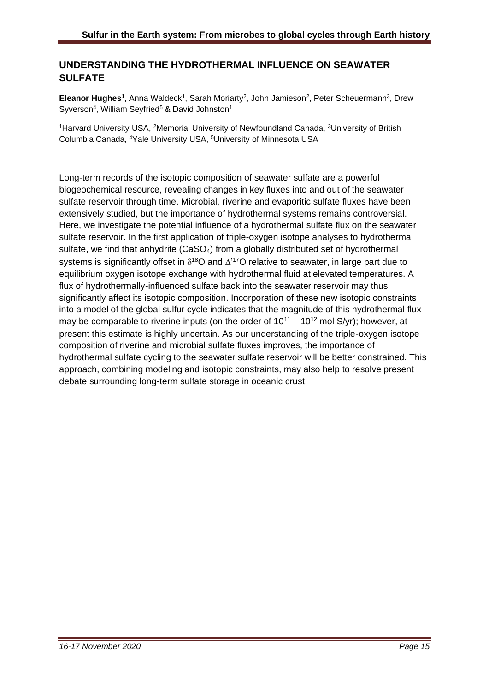## **UNDERSTANDING THE HYDROTHERMAL INFLUENCE ON SEAWATER SULFATE**

Eleanor Hughes<sup>1</sup>, Anna Waldeck<sup>1</sup>, Sarah Moriarty<sup>2</sup>, John Jamieson<sup>2</sup>, Peter Scheuermann<sup>3</sup>, Drew Syverson<sup>4</sup>, William Seyfried<sup>5</sup> & David Johnston<sup>1</sup>

<sup>1</sup>Harvard University USA, <sup>2</sup>Memorial University of Newfoundland Canada, <sup>3</sup>University of British Columbia Canada, <sup>4</sup>Yale University USA, <sup>5</sup>University of Minnesota USA

Long-term records of the isotopic composition of seawater sulfate are a powerful biogeochemical resource, revealing changes in key fluxes into and out of the seawater sulfate reservoir through time. Microbial, riverine and evaporitic sulfate fluxes have been extensively studied, but the importance of hydrothermal systems remains controversial. Here, we investigate the potential influence of a hydrothermal sulfate flux on the seawater sulfate reservoir. In the first application of triple-oxygen isotope analyses to hydrothermal sulfate, we find that anhydrite (CaSO<sub>4</sub>) from a globally distributed set of hydrothermal systems is significantly offset in  $\delta^{18}O$  and  $\Delta'^{17}O$  relative to seawater, in large part due to equilibrium oxygen isotope exchange with hydrothermal fluid at elevated temperatures. A flux of hydrothermally-influenced sulfate back into the seawater reservoir may thus significantly affect its isotopic composition. Incorporation of these new isotopic constraints into a model of the global sulfur cycle indicates that the magnitude of this hydrothermal flux may be comparable to riverine inputs (on the order of  $10^{11} - 10^{12}$  mol S/yr); however, at present this estimate is highly uncertain. As our understanding of the triple-oxygen isotope composition of riverine and microbial sulfate fluxes improves, the importance of hydrothermal sulfate cycling to the seawater sulfate reservoir will be better constrained. This approach, combining modeling and isotopic constraints, may also help to resolve present debate surrounding long-term sulfate storage in oceanic crust.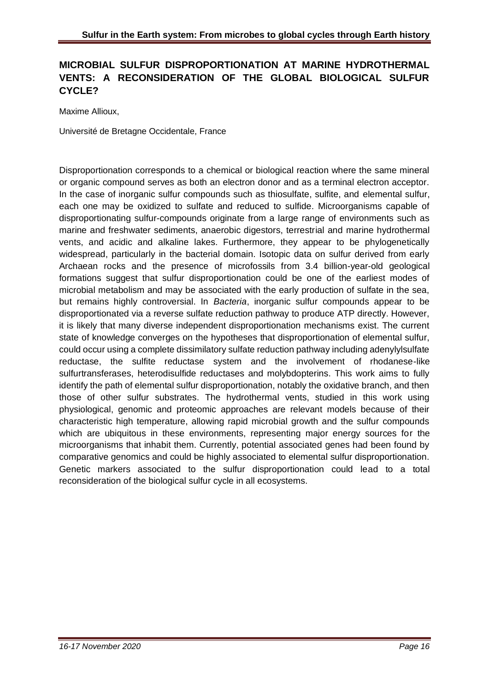## **MICROBIAL SULFUR DISPROPORTIONATION AT MARINE HYDROTHERMAL VENTS: A RECONSIDERATION OF THE GLOBAL BIOLOGICAL SULFUR CYCLE?**

Maxime Allioux,

Université de Bretagne Occidentale, France

Disproportionation corresponds to a chemical or biological reaction where the same mineral or organic compound serves as both an electron donor and as a terminal electron acceptor. In the case of inorganic sulfur compounds such as thiosulfate, sulfite, and elemental sulfur, each one may be oxidized to sulfate and reduced to sulfide. Microorganisms capable of disproportionating sulfur-compounds originate from a large range of environments such as marine and freshwater sediments, anaerobic digestors, terrestrial and marine hydrothermal vents, and acidic and alkaline lakes. Furthermore, they appear to be phylogenetically widespread, particularly in the bacterial domain. Isotopic data on sulfur derived from early Archaean rocks and the presence of microfossils from 3.4 billion-year-old geological formations suggest that sulfur disproportionation could be one of the earliest modes of microbial metabolism and may be associated with the early production of sulfate in the sea, but remains highly controversial. In *Bacteria*, inorganic sulfur compounds appear to be disproportionated via a reverse sulfate reduction pathway to produce ATP directly. However, it is likely that many diverse independent disproportionation mechanisms exist. The current state of knowledge converges on the hypotheses that disproportionation of elemental sulfur, could occur using a complete dissimilatory sulfate reduction pathway including adenylylsulfate reductase, the sulfite reductase system and the involvement of rhodanese-like sulfurtransferases, heterodisulfide reductases and molybdopterins. This work aims to fully identify the path of elemental sulfur disproportionation, notably the oxidative branch, and then those of other sulfur substrates. The hydrothermal vents, studied in this work using physiological, genomic and proteomic approaches are relevant models because of their characteristic high temperature, allowing rapid microbial growth and the sulfur compounds which are ubiquitous in these environments, representing major energy sources for the microorganisms that inhabit them. Currently, potential associated genes had been found by comparative genomics and could be highly associated to elemental sulfur disproportionation. Genetic markers associated to the sulfur disproportionation could lead to a total reconsideration of the biological sulfur cycle in all ecosystems.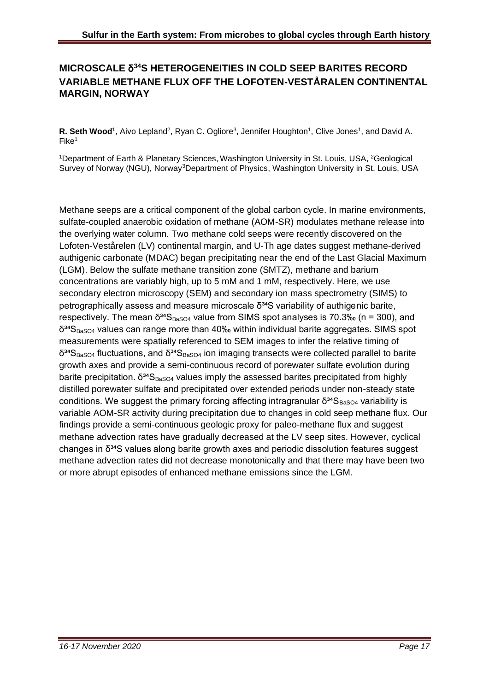## **MICROSCALE** δ **<sup>34</sup>S HETEROGENEITIES IN COLD SEEP BARITES RECORD VARIABLE METHANE FLUX OFF THE LOFOTEN-VESTÅRALEN CONTINENTAL MARGIN, NORWAY**

R. Seth Wood<sup>1</sup>, Aivo Lepland<sup>2</sup>, Ryan C. Ogliore<sup>3</sup>, Jennifer Houghton<sup>1</sup>, Clive Jones<sup>1</sup>, and David A. Fike<sup>1</sup>

<sup>1</sup>Department of Earth & Planetary Sciences, Washington University in St. Louis, USA, <sup>2</sup>Geological Survey of Norway (NGU), Norway<sup>3</sup>Department of Physics, Washington University in St. Louis, USA

Methane seeps are a critical component of the global carbon cycle. In marine environments, sulfate-coupled anaerobic oxidation of methane (AOM-SR) modulates methane release into the overlying water column. Two methane cold seeps were recently discovered on the Lofoten-Vestårelen (LV) continental margin, and U-Th age dates suggest methane-derived authigenic carbonate (MDAC) began precipitating near the end of the Last Glacial Maximum (LGM). Below the sulfate methane transition zone (SMTZ), methane and barium concentrations are variably high, up to 5 mM and 1 mM, respectively. Here, we use secondary electron microscopy (SEM) and secondary ion mass spectrometry (SIMS) to petrographically assess and measure microscale  $δ<sup>34</sup>S$  variability of authigenic barite, respectively. The mean  $\delta^{34}S_{BaSO4}$  value from SIMS spot analyses is 70.3‰ (n = 300), and  $\delta^{34}S_{\text{BasOA}}$  values can range more than 40‰ within individual barite aggregates. SIMS spot measurements were spatially referenced to SEM images to infer the relative timing of  $δ<sup>34</sup>S<sub>BaSO4</sub>$  fluctuations, and  $δ<sup>34</sup>S<sub>BaSO4</sub>$  ion imaging transects were collected parallel to barite growth axes and provide a semi-continuous record of porewater sulfate evolution during barite precipitation.  $\delta^{34}S_{\text{BaSO4}}$  values imply the assessed barites precipitated from highly distilled porewater sulfate and precipitated over extended periods under non-steady state conditions. We suggest the primary forcing affecting intragranular  $\delta^{34}S_{\text{BaSO4}}$  variability is variable AOM-SR activity during precipitation due to changes in cold seep methane flux. Our findings provide a semi-continuous geologic proxy for paleo-methane flux and suggest methane advection rates have gradually decreased at the LV seep sites. However, cyclical changes in δ<sup>34</sup>S values along barite growth axes and periodic dissolution features suggest methane advection rates did not decrease monotonically and that there may have been two or more abrupt episodes of enhanced methane emissions since the LGM.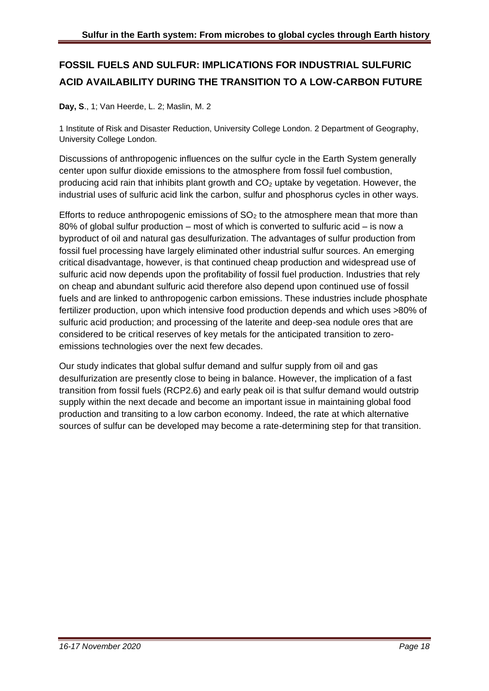## **FOSSIL FUELS AND SULFUR: IMPLICATIONS FOR INDUSTRIAL SULFURIC ACID AVAILABILITY DURING THE TRANSITION TO A LOW-CARBON FUTURE**

**Day, S**., 1; Van Heerde, L. 2; Maslin, M. 2

1 Institute of Risk and Disaster Reduction, University College London. 2 Department of Geography, University College London.

Discussions of anthropogenic influences on the sulfur cycle in the Earth System generally center upon sulfur dioxide emissions to the atmosphere from fossil fuel combustion, producing acid rain that inhibits plant growth and  $CO<sub>2</sub>$  uptake by vegetation. However, the industrial uses of sulfuric acid link the carbon, sulfur and phosphorus cycles in other ways.

Efforts to reduce anthropogenic emissions of  $SO<sub>2</sub>$  to the atmosphere mean that more than 80% of global sulfur production – most of which is converted to sulfuric acid – is now a byproduct of oil and natural gas desulfurization. The advantages of sulfur production from fossil fuel processing have largely eliminated other industrial sulfur sources. An emerging critical disadvantage, however, is that continued cheap production and widespread use of sulfuric acid now depends upon the profitability of fossil fuel production. Industries that rely on cheap and abundant sulfuric acid therefore also depend upon continued use of fossil fuels and are linked to anthropogenic carbon emissions. These industries include phosphate fertilizer production, upon which intensive food production depends and which uses >80% of sulfuric acid production; and processing of the laterite and deep-sea nodule ores that are considered to be critical reserves of key metals for the anticipated transition to zeroemissions technologies over the next few decades.

Our study indicates that global sulfur demand and sulfur supply from oil and gas desulfurization are presently close to being in balance. However, the implication of a fast transition from fossil fuels (RCP2.6) and early peak oil is that sulfur demand would outstrip supply within the next decade and become an important issue in maintaining global food production and transiting to a low carbon economy. Indeed, the rate at which alternative sources of sulfur can be developed may become a rate-determining step for that transition.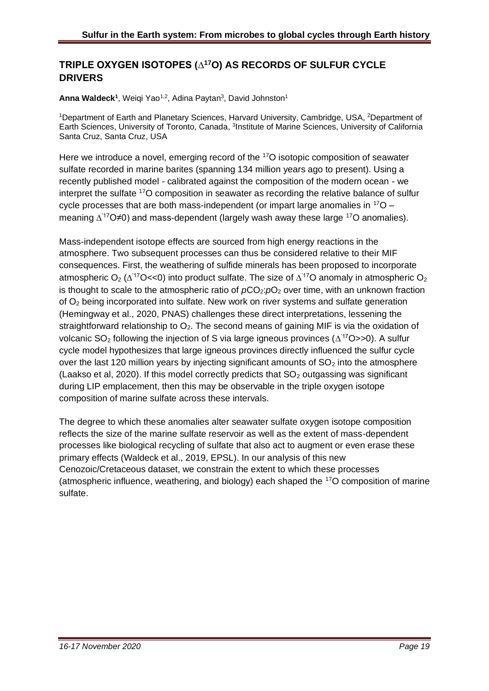## **TRIPLE OXYGEN ISOTOPES (∆<sup>17</sup>O) AS RECORDS OF SULFUR CYCLE DRIVERS**

Anna Waldeck<sup>1</sup>, Weiqi Yao<sup>1,2</sup>, Adina Paytan<sup>3</sup>, David Johnston<sup>1</sup>

<sup>1</sup>Department of Earth and Planetary Sciences, Harvard University, Cambridge, USA, <sup>2</sup>Department of Earth Sciences, University of Toronto, Canada, <sup>3</sup>Institute of Marine Sciences, University of California Santa Cruz, Santa Cruz, USA

Here we introduce a novel, emerging record of the <sup>17</sup>O isotopic composition of seawater sulfate recorded in marine barites (spanning 134 million years ago to present). Using a recently published model - calibrated against the composition of the modern ocean - we interpret the sulfate <sup>17</sup>O composition in seawater as recording the relative balance of sulfur cycle processes that are both mass-independent (or impart large anomalies in  $170$ meaning  $\Delta^{17}O\neq0$ ) and mass-dependent (largely wash away these large  $^{17}O$  anomalies).

Mass-independent isotope effects are sourced from high energy reactions in the atmosphere. Two subsequent processes can thus be considered relative to their MIF consequences. First, the weathering of sulfide minerals has been proposed to incorporate atmospheric O<sub>2</sub> ( $\Delta$ <sup>'17</sup>O<<0) into product sulfate. The size of  $\Delta$ <sup>'17</sup>O anomaly in atmospheric O<sub>2</sub> is thought to scale to the atmospheric ratio of  $pCO<sub>2</sub>:pO<sub>2</sub>$  over time, with an unknown fraction of  $O<sub>2</sub>$  being incorporated into sulfate. New work on river systems and sulfate generation (Hemingway et al., 2020, PNAS) challenges these direct interpretations, lessening the straightforward relationship to  $O_2$ . The second means of gaining MIF is via the oxidation of volcanic SO<sub>2</sub> following the injection of S via large igneous provinces ( $\Delta$ <sup>17</sup>O>>0). A sulfur cycle model hypothesizes that large igneous provinces directly influenced the sulfur cycle over the last 120 million years by injecting significant amounts of  $SO<sub>2</sub>$  into the atmosphere (Laakso et al, 2020). If this model correctly predicts that  $SO<sub>2</sub>$  outgassing was significant during LIP emplacement, then this may be observable in the triple oxygen isotope composition of marine sulfate across these intervals.

The degree to which these anomalies alter seawater sulfate oxygen isotope composition reflects the size of the marine sulfate reservoir as well as the extent of mass-dependent processes like biological recycling of sulfate that also act to augment or even erase these primary effects (Waldeck et al., 2019, EPSL). In our analysis of this new Cenozoic/Cretaceous dataset, we constrain the extent to which these processes (atmospheric influence, weathering, and biology) each shaped the <sup>17</sup>O composition of marine sulfate.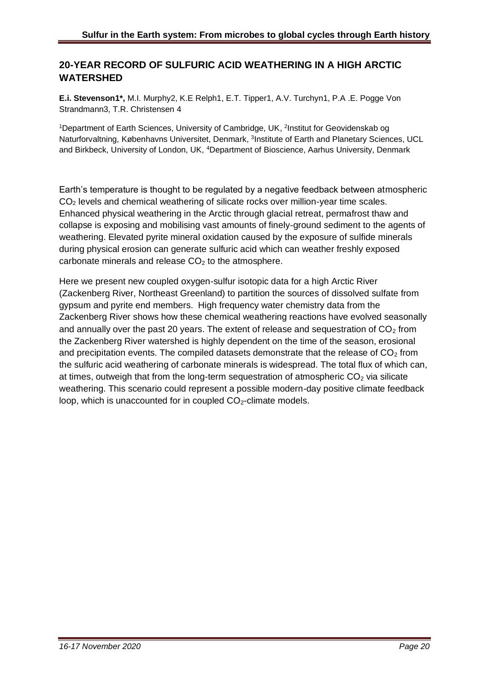## **20-YEAR RECORD OF SULFURIC ACID WEATHERING IN A HIGH ARCTIC WATERSHED**

**E.i. Stevenson1\*,** M.I. Murphy2, K.E Relph1, E.T. Tipper1, A.V. Turchyn1, P.A .E. Pogge Von Strandmann3, T.R. Christensen 4

<sup>1</sup>Department of Earth Sciences, University of Cambridge, UK, <sup>2</sup>Institut for Geovidenskab og Naturforvaltning, Københavns Universitet, Denmark, <sup>3</sup>Institute of Earth and Planetary Sciences, UCL and Birkbeck, University of London, UK, <sup>4</sup>Department of Bioscience, Aarhus University, Denmark

Earth's temperature is thought to be regulated by a negative feedback between atmospheric CO<sup>2</sup> levels and chemical weathering of silicate rocks over million-year time scales. Enhanced physical weathering in the Arctic through glacial retreat, permafrost thaw and collapse is exposing and mobilising vast amounts of finely-ground sediment to the agents of weathering. Elevated pyrite mineral oxidation caused by the exposure of sulfide minerals during physical erosion can generate sulfuric acid which can weather freshly exposed carbonate minerals and release  $CO<sub>2</sub>$  to the atmosphere.

Here we present new coupled oxygen-sulfur isotopic data for a high Arctic River (Zackenberg River, Northeast Greenland) to partition the sources of dissolved sulfate from gypsum and pyrite end members. High frequency water chemistry data from the Zackenberg River shows how these chemical weathering reactions have evolved seasonally and annually over the past 20 years. The extent of release and sequestration of  $CO<sub>2</sub>$  from the Zackenberg River watershed is highly dependent on the time of the season, erosional and precipitation events. The compiled datasets demonstrate that the release of  $CO<sub>2</sub>$  from the sulfuric acid weathering of carbonate minerals is widespread. The total flux of which can, at times, outweigh that from the long-term sequestration of atmospheric  $CO<sub>2</sub>$  via silicate weathering. This scenario could represent a possible modern-day positive climate feedback loop, which is unaccounted for in coupled  $CO<sub>2</sub>$ -climate models.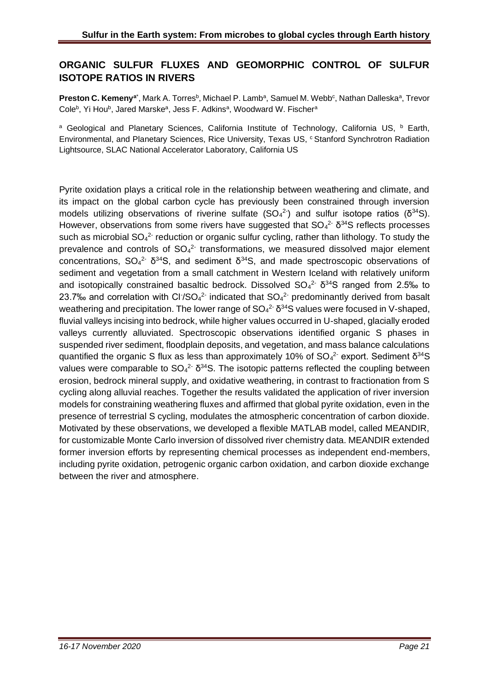## **ORGANIC SULFUR FLUXES AND GEOMORPHIC CONTROL OF SULFUR ISOTOPE RATIOS IN RIVERS**

Preston C. Kemeny<sup>a\*</sup>, Mark A. Torres<sup>b</sup>, Michael P. Lamb<sup>a</sup>, Samuel M. Webb<sup>c</sup>, Nathan Dalleska<sup>a</sup>, Trevor Cole<sup>b</sup>, Yi Hou<sup>b</sup>, Jared Marske<sup>a</sup>, Jess F. Adkins<sup>a</sup>, Woodward W. Fischer<sup>a</sup>

<sup>a</sup> Geological and Planetary Sciences, California Institute of Technology, California US, <sup>b</sup> Earth, Environmental, and Planetary Sciences, Rice University, Texas US, <sup>c</sup> Stanford Synchrotron Radiation Lightsource, SLAC National Accelerator Laboratory, California US

Pyrite oxidation plays a critical role in the relationship between weathering and climate, and its impact on the global carbon cycle has previously been constrained through inversion models utilizing observations of riverine sulfate  $(SO_4^2)$  and sulfur isotope ratios ( $\delta^{34}S$ ). However, observations from some rivers have suggested that  $SO_4^2$ <sup>-</sup>  $\delta^{34}S$  reflects processes such as microbial  $SO_4^2$  reduction or organic sulfur cycling, rather than lithology. To study the prevalence and controls of  $SO_4^2$  transformations, we measured dissolved major element concentrations,  $SO_4^2$   $\delta^{34}S$ , and sediment  $\delta^{34}S$ , and made spectroscopic observations of sediment and vegetation from a small catchment in Western Iceland with relatively uniform and isotopically constrained basaltic bedrock. Dissolved  $SO_4^2$   $\delta^{34}S$  ranged from 2.5‰ to 23.7‰ and correlation with Cl<sup>-</sup>/SO<sub>4</sub><sup>2-</sup> indicated that  $SO<sub>4</sub><sup>2</sup>$  predominantly derived from basalt weathering and precipitation. The lower range of  $SO_4^2$   $\delta^{34}S$  values were focused in V-shaped, fluvial valleys incising into bedrock, while higher values occurred in U-shaped, glacially eroded valleys currently alluviated. Spectroscopic observations identified organic S phases in suspended river sediment, floodplain deposits, and vegetation, and mass balance calculations quantified the organic S flux as less than approximately 10% of  $SO_4^2$  export. Sediment  $\delta^{34}S$ values were comparable to  $SO_4^2$   $\delta^{34}S$ . The isotopic patterns reflected the coupling between erosion, bedrock mineral supply, and oxidative weathering, in contrast to fractionation from S cycling along alluvial reaches. Together the results validated the application of river inversion models for constraining weathering fluxes and affirmed that global pyrite oxidation, even in the presence of terrestrial S cycling, modulates the atmospheric concentration of carbon dioxide. Motivated by these observations, we developed a flexible MATLAB model, called MEANDIR, for customizable Monte Carlo inversion of dissolved river chemistry data. MEANDIR extended former inversion efforts by representing chemical processes as independent end-members, including pyrite oxidation, petrogenic organic carbon oxidation, and carbon dioxide exchange between the river and atmosphere.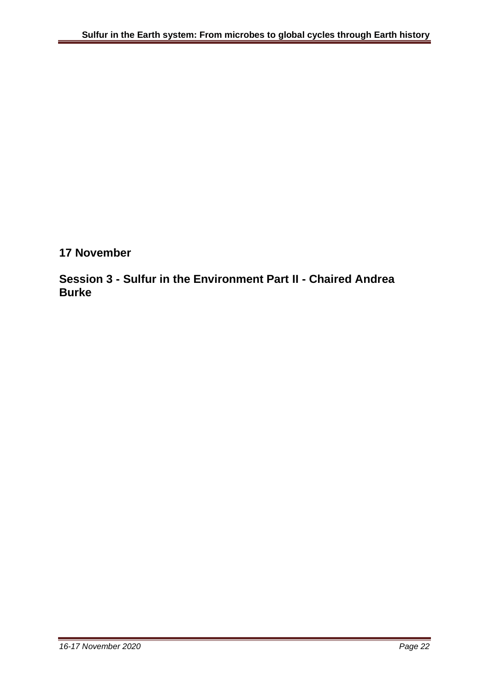**17 November**

**Session 3 - Sulfur in the Environment Part II - Chaired Andrea Burke**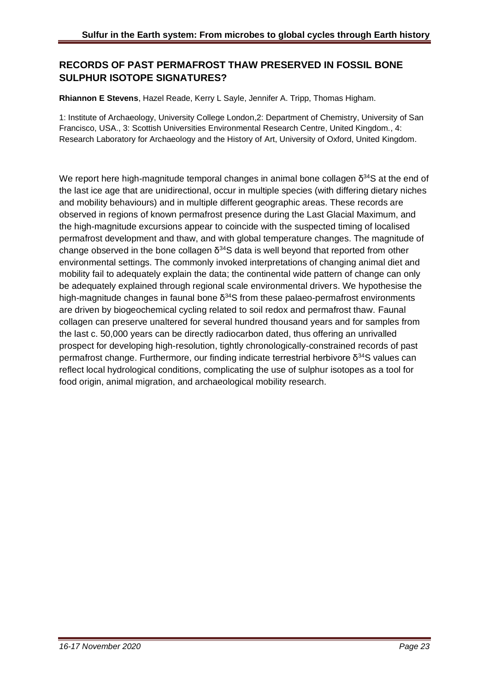## **RECORDS OF PAST PERMAFROST THAW PRESERVED IN FOSSIL BONE SULPHUR ISOTOPE SIGNATURES?**

#### **Rhiannon E Stevens**, Hazel Reade, Kerry L Sayle, Jennifer A. Tripp, Thomas Higham.

1: Institute of Archaeology, University College London,2: Department of Chemistry, University of San Francisco, USA., 3: Scottish Universities Environmental Research Centre, United Kingdom., 4: Research Laboratory for Archaeology and the History of Art, University of Oxford, United Kingdom.

We report here high-magnitude temporal changes in animal bone collagen  $\delta^{34}$ S at the end of the last ice age that are unidirectional, occur in multiple species (with differing dietary niches and mobility behaviours) and in multiple different geographic areas. These records are observed in regions of known permafrost presence during the Last Glacial Maximum, and the high-magnitude excursions appear to coincide with the suspected timing of localised permafrost development and thaw, and with global temperature changes. The magnitude of change observed in the bone collagen  $\delta^{34}$ S data is well beyond that reported from other environmental settings. The commonly invoked interpretations of changing animal diet and mobility fail to adequately explain the data; the continental wide pattern of change can only be adequately explained through regional scale environmental drivers. We hypothesise the high-magnitude changes in faunal bone  $\delta^{34}$ S from these palaeo-permafrost environments are driven by biogeochemical cycling related to soil redox and permafrost thaw. Faunal collagen can preserve unaltered for several hundred thousand years and for samples from the last c. 50,000 years can be directly radiocarbon dated, thus offering an unrivalled prospect for developing high-resolution, tightly chronologically-constrained records of past permafrost change. Furthermore, our finding indicate terrestrial herbivore  $δ<sup>34</sup>S$  values can reflect local hydrological conditions, complicating the use of sulphur isotopes as a tool for food origin, animal migration, and archaeological mobility research.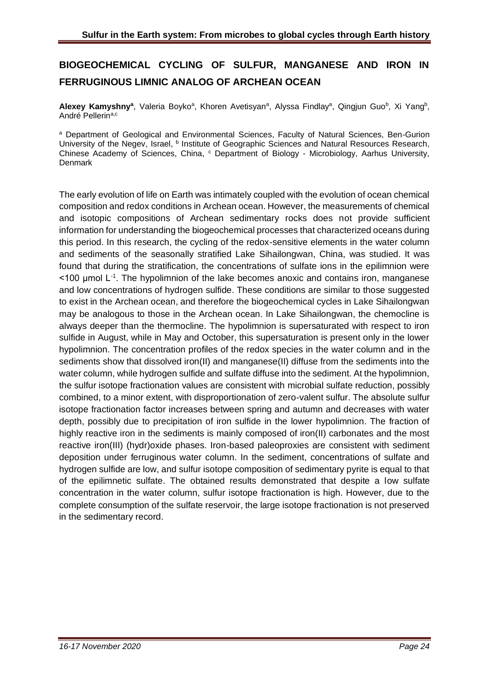## **BIOGEOCHEMICAL CYCLING OF SULFUR, MANGANESE AND IRON IN FERRUGINOUS LIMNIC ANALOG OF ARCHEAN OCEAN**

Alexey Kamyshny<sup>a</sup>, Valeria Boyko<sup>a</sup>, Khoren Avetisyan<sup>a</sup>, Alyssa Findlay<sup>a</sup>, Qingjun Guo<sup>b</sup>, Xi Yang<sup>b</sup>, André Pellerin<sup>a,c</sup>

<sup>a</sup> Department of Geological and Environmental Sciences, Faculty of Natural Sciences, Ben-Gurion University of the Negev, Israel, <sup>b</sup> Institute of Geographic Sciences and Natural Resources Research, Chinese Academy of Sciences, China, c Department of Biology - Microbiology, Aarhus University, Denmark

The early evolution of life on Earth was intimately coupled with the evolution of ocean chemical composition and redox conditions in Archean ocean. However, the measurements of chemical and isotopic compositions of Archean sedimentary rocks does not provide sufficient information for understanding the biogeochemical processes that characterized oceans during this period. In this research, the cycling of the redox-sensitive elements in the water column and sediments of the seasonally stratified Lake Sihailongwan, China, was studied. It was found that during the stratification, the concentrations of sulfate ions in the epilimnion were <100 μmol L-1 . The hypolimnion of the lake becomes anoxic and contains iron, manganese and low concentrations of hydrogen sulfide. These conditions are similar to those suggested to exist in the Archean ocean, and therefore the biogeochemical cycles in Lake Sihailongwan may be analogous to those in the Archean ocean. In Lake Sihailongwan, the chemocline is always deeper than the thermocline. The hypolimnion is supersaturated with respect to iron sulfide in August, while in May and October, this supersaturation is present only in the lower hypolimnion. The concentration profiles of the redox species in the water column and in the sediments show that dissolved iron(II) and manganese(II) diffuse from the sediments into the water column, while hydrogen sulfide and sulfate diffuse into the sediment. At the hypolimnion, the sulfur isotope fractionation values are consistent with microbial sulfate reduction, possibly combined, to a minor extent, with disproportionation of zero-valent sulfur. The absolute sulfur isotope fractionation factor increases between spring and autumn and decreases with water depth, possibly due to precipitation of iron sulfide in the lower hypolimnion. The fraction of highly reactive iron in the sediments is mainly composed of iron(II) carbonates and the most reactive iron(III) (hydr)oxide phases. Iron-based paleoproxies are consistent with sediment deposition under ferruginous water column. In the sediment, concentrations of sulfate and hydrogen sulfide are low, and sulfur isotope composition of sedimentary pyrite is equal to that of the epilimnetic sulfate. The obtained results demonstrated that despite a low sulfate concentration in the water column, sulfur isotope fractionation is high. However, due to the complete consumption of the sulfate reservoir, the large isotope fractionation is not preserved in the sedimentary record.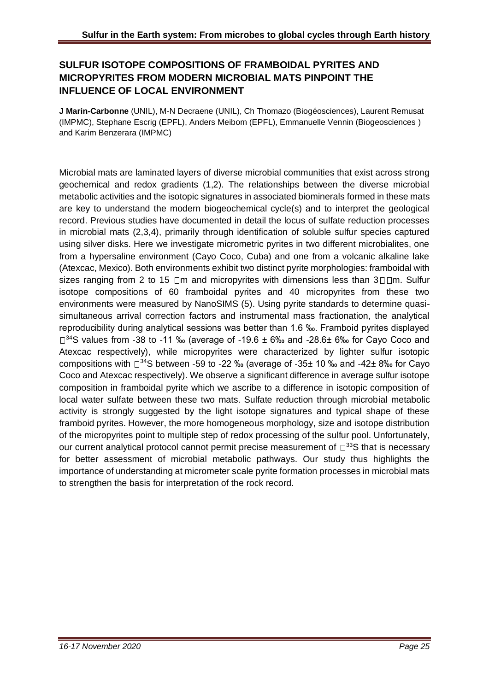## **SULFUR ISOTOPE COMPOSITIONS OF FRAMBOIDAL PYRITES AND MICROPYRITES FROM MODERN MICROBIAL MATS PINPOINT THE INFLUENCE OF LOCAL ENVIRONMENT**

**J Marin-Carbonne** (UNIL), M-N Decraene (UNIL), Ch Thomazo (Biogéosciences), Laurent Remusat (IMPMC), Stephane Escrig (EPFL), Anders Meibom (EPFL), Emmanuelle Vennin (Biogeosciences ) and Karim Benzerara (IMPMC)

Microbial mats are laminated layers of diverse microbial communities that exist across strong geochemical and redox gradients (1,2). The relationships between the diverse microbial metabolic activities and the isotopic signatures in associated biominerals formed in these mats are key to understand the modern biogeochemical cycle(s) and to interpret the geological record. Previous studies have documented in detail the locus of sulfate reduction processes in microbial mats (2,3,4), primarily through identification of soluble sulfur species captured using silver disks. Here we investigate micrometric pyrites in two different microbialites, one from a hypersaline environment (Cayo Coco, Cuba) and one from a volcanic alkaline lake (Atexcac, Mexico). Both environments exhibit two distinct pyrite morphologies: framboidal with sizes ranging from 2 to 15  $\Box$ m and micropyrites with dimensions less than 3 $\Box$  $\Box$ m. Sulfur isotope compositions of 60 framboidal pyrites and 40 micropyrites from these two environments were measured by NanoSIMS (5). Using pyrite standards to determine quasisimultaneous arrival correction factors and instrumental mass fractionation, the analytical reproducibility during analytical sessions was better than 1.6 ‰. Framboid pyrites displayed  $\square^{34}$ S values from -38 to -11 ‰ (average of -19.6 ± 6‰ and -28.6± 6‰ for Cayo Coco and Atexcac respectively), while micropyrites were characterized by lighter sulfur isotopic compositions with  $\Box^{34}$ S between -59 to -22 ‰ (average of -35 $\pm$  10 ‰ and -42 $\pm$  8‰ for Cayo Coco and Atexcac respectively). We observe a significant difference in average sulfur isotope composition in framboidal pyrite which we ascribe to a difference in isotopic composition of local water sulfate between these two mats. Sulfate reduction through microbial metabolic activity is strongly suggested by the light isotope signatures and typical shape of these framboid pyrites. However, the more homogeneous morphology, size and isotope distribution of the micropyrites point to multiple step of redox processing of the sulfur pool. Unfortunately, our current analytical protocol cannot permit precise measurement of  $\Box$ <sup>33</sup>S that is necessary for better assessment of microbial metabolic pathways. Our study thus highlights the importance of understanding at micrometer scale pyrite formation processes in microbial mats to strengthen the basis for interpretation of the rock record.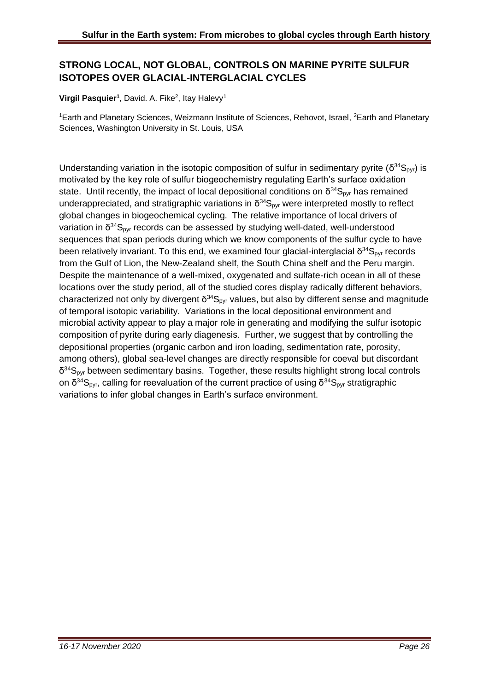## **STRONG LOCAL, NOT GLOBAL, CONTROLS ON MARINE PYRITE SULFUR ISOTOPES OVER GLACIAL-INTERGLACIAL CYCLES**

#### Virgil Pasquier<sup>1</sup>, David. A. Fike<sup>2</sup>, Itay Halevy<sup>1</sup>

<sup>1</sup>Earth and Planetary Sciences, Weizmann Institute of Sciences, Rehovot, Israel, <sup>2</sup>Earth and Planetary Sciences, Washington University in St. Louis, USA

Understanding variation in the isotopic composition of sulfur in sedimentary pyrite ( $\delta^{34}S_{pyr}$ ) is motivated by the key role of sulfur biogeochemistry regulating Earth's surface oxidation state. Until recently, the impact of local depositional conditions on  $\delta^{34}S_{pyr}$  has remained underappreciated, and stratigraphic variations in  $\delta^{34}S_{pyr}$  were interpreted mostly to reflect global changes in biogeochemical cycling. The relative importance of local drivers of variation in  $\delta^{34}S_{pyr}$  records can be assessed by studying well-dated, well-understood sequences that span periods during which we know components of the sulfur cycle to have been relatively invariant. To this end, we examined four glacial-interglacial  $\delta^{34}S_{pyr}$  records from the Gulf of Lion, the New-Zealand shelf, the South China shelf and the Peru margin. Despite the maintenance of a well-mixed, oxygenated and sulfate-rich ocean in all of these locations over the study period, all of the studied cores display radically different behaviors, characterized not only by divergent  $\delta^{34}S_{pyr}$  values, but also by different sense and magnitude of temporal isotopic variability. Variations in the local depositional environment and microbial activity appear to play a major role in generating and modifying the sulfur isotopic composition of pyrite during early diagenesis. Further, we suggest that by controlling the depositional properties (organic carbon and iron loading, sedimentation rate, porosity, among others), global sea-level changes are directly responsible for coeval but discordant  $\delta^{34}S_{pyr}$  between sedimentary basins. Together, these results highlight strong local controls on δ<sup>34</sup>S<sub>pyr</sub>, calling for reevaluation of the current practice of using δ<sup>34</sup>S<sub>pyr</sub> stratigraphic variations to infer global changes in Earth's surface environment.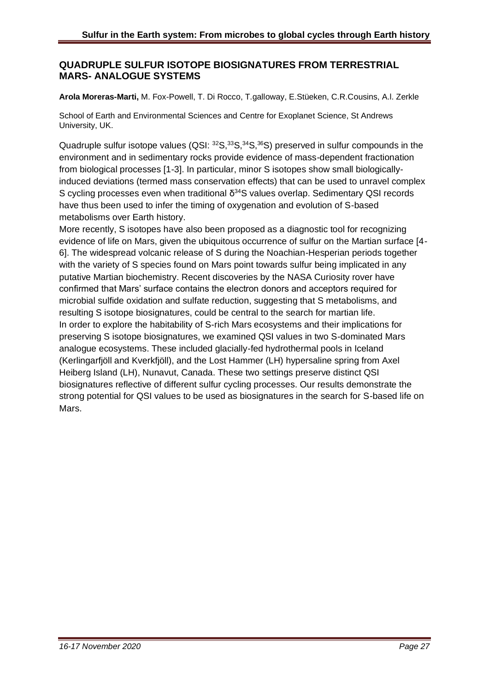#### **QUADRUPLE SULFUR ISOTOPE BIOSIGNATURES FROM TERRESTRIAL MARS- ANALOGUE SYSTEMS**

**Arola Moreras-Marti,** M. Fox-Powell, T. Di Rocco, T.galloway, E.Stüeken, C.R.Cousins, A.l. Zerkle

School of Earth and Environmental Sciences and Centre for Exoplanet Science, St Andrews University, UK.

Quadruple sulfur isotope values  $(QSI: <sup>32</sup>S, <sup>33</sup>S, <sup>34</sup>S, <sup>36</sup>S)$  preserved in sulfur compounds in the environment and in sedimentary rocks provide evidence of mass-dependent fractionation from biological processes [1-3]. In particular, minor S isotopes show small biologicallyinduced deviations (termed mass conservation effects) that can be used to unravel complex S cycling processes even when traditional  $\delta^{34}$ S values overlap. Sedimentary QSI records have thus been used to infer the timing of oxygenation and evolution of S-based metabolisms over Earth history.

More recently, S isotopes have also been proposed as a diagnostic tool for recognizing evidence of life on Mars, given the ubiquitous occurrence of sulfur on the Martian surface [4- 6]. The widespread volcanic release of S during the Noachian-Hesperian periods together with the variety of S species found on Mars point towards sulfur being implicated in any putative Martian biochemistry. Recent discoveries by the NASA Curiosity rover have confirmed that Mars' surface contains the electron donors and acceptors required for microbial sulfide oxidation and sulfate reduction, suggesting that S metabolisms, and resulting S isotope biosignatures, could be central to the search for martian life. In order to explore the habitability of S-rich Mars ecosystems and their implications for preserving S isotope biosignatures, we examined QSI values in two S-dominated Mars analogue ecosystems. These included glacially-fed hydrothermal pools in Iceland (Kerlingarfjöll and Kverkfjöll), and the Lost Hammer (LH) hypersaline spring from Axel Heiberg Island (LH), Nunavut, Canada. These two settings preserve distinct QSI biosignatures reflective of different sulfur cycling processes. Our results demonstrate the strong potential for QSI values to be used as biosignatures in the search for S-based life on Mars.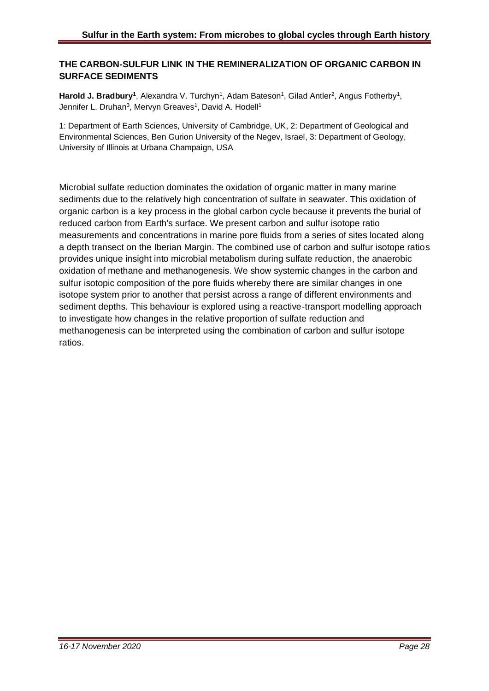#### **THE CARBON-SULFUR LINK IN THE REMINERALIZATION OF ORGANIC CARBON IN SURFACE SEDIMENTS**

Harold J. Bradbury<sup>1</sup>, Alexandra V. Turchyn<sup>1</sup>, Adam Bateson<sup>1</sup>, Gilad Antler<sup>2</sup>, Angus Fotherby<sup>1</sup>, Jennifer L. Druhan<sup>3</sup>, Mervyn Greaves<sup>1</sup>, David A. Hodell<sup>1</sup>

1: Department of Earth Sciences, University of Cambridge, UK, 2: Department of Geological and Environmental Sciences, Ben Gurion University of the Negev, Israel, 3: Department of Geology, University of Illinois at Urbana Champaign, USA

Microbial sulfate reduction dominates the oxidation of organic matter in many marine sediments due to the relatively high concentration of sulfate in seawater. This oxidation of organic carbon is a key process in the global carbon cycle because it prevents the burial of reduced carbon from Earth's surface. We present carbon and sulfur isotope ratio measurements and concentrations in marine pore fluids from a series of sites located along a depth transect on the Iberian Margin. The combined use of carbon and sulfur isotope ratios provides unique insight into microbial metabolism during sulfate reduction, the anaerobic oxidation of methane and methanogenesis. We show systemic changes in the carbon and sulfur isotopic composition of the pore fluids whereby there are similar changes in one isotope system prior to another that persist across a range of different environments and sediment depths. This behaviour is explored using a reactive-transport modelling approach to investigate how changes in the relative proportion of sulfate reduction and methanogenesis can be interpreted using the combination of carbon and sulfur isotope ratios.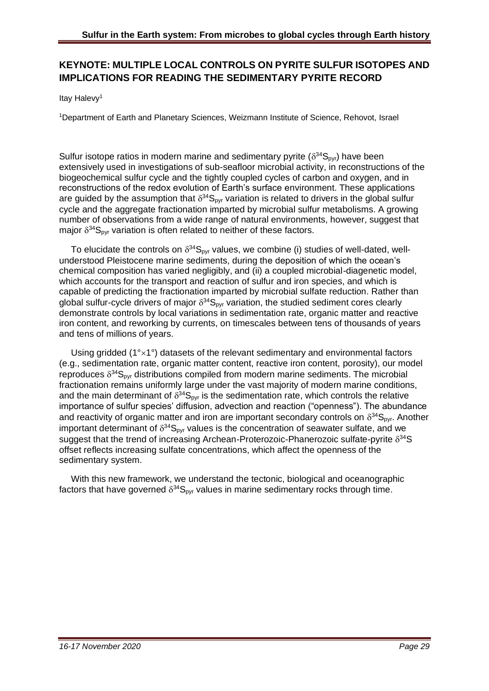## **KEYNOTE: MULTIPLE LOCAL CONTROLS ON PYRITE SULFUR ISOTOPES AND IMPLICATIONS FOR READING THE SEDIMENTARY PYRITE RECORD**

Itav Halevv<sup>1</sup>

<sup>1</sup>Department of Earth and Planetary Sciences, Weizmann Institute of Science, Rehovot, Israel

Sulfur isotope ratios in modern marine and sedimentary pyrite ( $\delta^{34}S_{pyr}$ ) have been extensively used in investigations of sub-seafloor microbial activity, in reconstructions of the biogeochemical sulfur cycle and the tightly coupled cycles of carbon and oxygen, and in reconstructions of the redox evolution of Earth's surface environment. These applications are guided by the assumption that  $\delta^{34}S_{pyr}$  variation is related to drivers in the global sulfur cycle and the aggregate fractionation imparted by microbial sulfur metabolisms. A growing number of observations from a wide range of natural environments, however, suggest that major  $\delta^{34}S_{\text{pyr}}$  variation is often related to neither of these factors.

To elucidate the controls on  $\delta^{34}S_{\text{pyr}}$  values, we combine (i) studies of well-dated, wellunderstood Pleistocene marine sediments, during the deposition of which the ocean's chemical composition has varied negligibly, and (ii) a coupled microbial-diagenetic model, which accounts for the transport and reaction of sulfur and iron species, and which is capable of predicting the fractionation imparted by microbial sulfate reduction. Rather than global sulfur-cycle drivers of major  $\delta^{34}S_{pyr}$  variation, the studied sediment cores clearly demonstrate controls by local variations in sedimentation rate, organic matter and reactive iron content, and reworking by currents, on timescales between tens of thousands of years and tens of millions of years.

Using gridded  $(1^{\circ} \times 1^{\circ})$  datasets of the relevant sedimentary and environmental factors (e.g., sedimentation rate, organic matter content, reactive iron content, porosity), our model reproduces  $\delta^{34}S_{pyr}$  distributions compiled from modern marine sediments. The microbial fractionation remains uniformly large under the vast majority of modern marine conditions, and the main determinant of  $\delta^{34}S_{\text{pyr}}$  is the sedimentation rate, which controls the relative importance of sulfur species' diffusion, advection and reaction ("openness"). The abundance and reactivity of organic matter and iron are important secondary controls on  $\delta^{34}S_{pyr}$ . Another important determinant of  $\delta^{34}S_{\text{pyr}}$  values is the concentration of seawater sulfate, and we suggest that the trend of increasing Archean-Proterozoic-Phanerozoic sulfate-pyrite  $\delta^{34}S$ offset reflects increasing sulfate concentrations, which affect the openness of the sedimentary system.

With this new framework, we understand the tectonic, biological and oceanographic factors that have governed  $\delta^{34}S_{\text{pyr}}$  values in marine sedimentary rocks through time.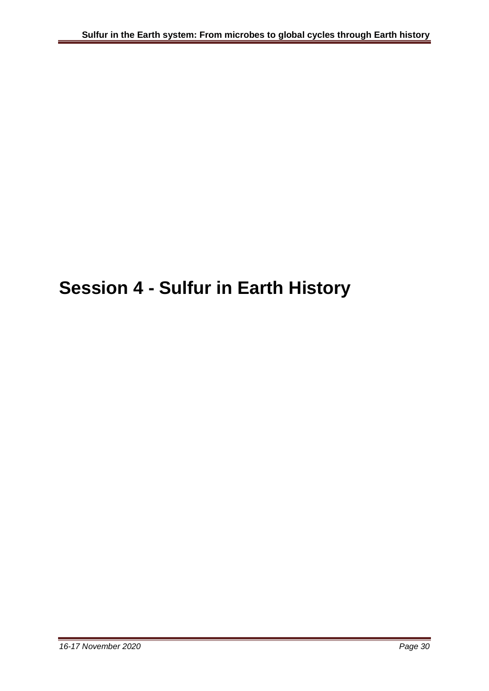## **Session 4 - Sulfur in Earth History**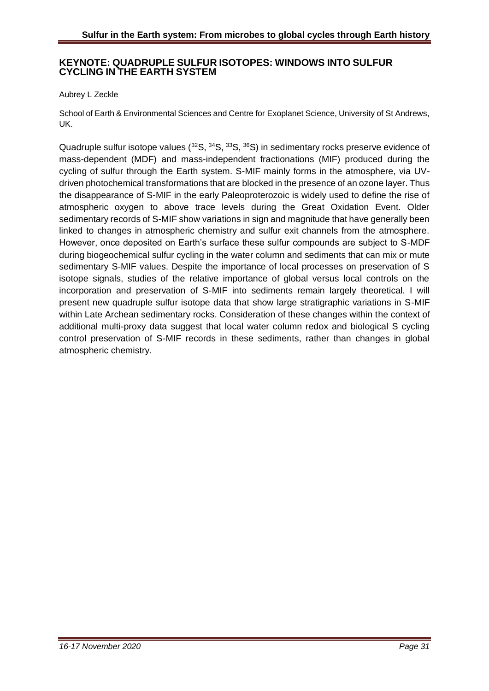#### **KEYNOTE: QUADRUPLE SULFUR ISOTOPES: WINDOWS INTO SULFUR CYCLING IN THE EARTH SYSTEM**

#### Aubrey L Zeckle

School of Earth & Environmental Sciences and Centre for Exoplanet Science, University of St Andrews, UK.

Quadruple sulfur isotope values  $(^{32}S, ^{34}S, ^{33}S, ^{36}S)$  in sedimentary rocks preserve evidence of mass-dependent (MDF) and mass-independent fractionations (MIF) produced during the cycling of sulfur through the Earth system. S-MIF mainly forms in the atmosphere, via UVdriven photochemical transformations that are blocked in the presence of an ozone layer. Thus the disappearance of S-MIF in the early Paleoproterozoic is widely used to define the rise of atmospheric oxygen to above trace levels during the Great Oxidation Event. Older sedimentary records of S-MIF show variations in sign and magnitude that have generally been linked to changes in atmospheric chemistry and sulfur exit channels from the atmosphere. However, once deposited on Earth's surface these sulfur compounds are subject to S-MDF during biogeochemical sulfur cycling in the water column and sediments that can mix or mute sedimentary S-MIF values. Despite the importance of local processes on preservation of S isotope signals, studies of the relative importance of global versus local controls on the incorporation and preservation of S-MIF into sediments remain largely theoretical. I will present new quadruple sulfur isotope data that show large stratigraphic variations in S-MIF within Late Archean sedimentary rocks. Consideration of these changes within the context of additional multi-proxy data suggest that local water column redox and biological S cycling control preservation of S-MIF records in these sediments, rather than changes in global atmospheric chemistry.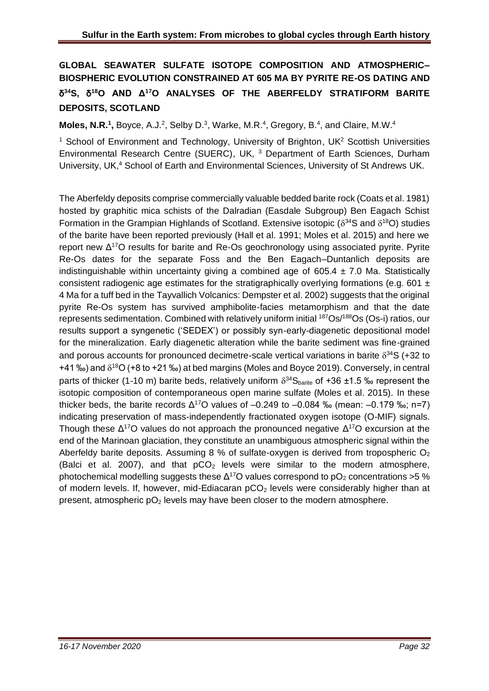## **GLOBAL SEAWATER SULFATE ISOTOPE COMPOSITION AND ATMOSPHERIC– BIOSPHERIC EVOLUTION CONSTRAINED AT 605 MA BY PYRITE RE-OS DATING AND**  δ **<sup>34</sup>S,** δ **<sup>18</sup>O AND Δ<sup>17</sup>O ANALYSES OF THE ABERFELDY STRATIFORM BARITE DEPOSITS, SCOTLAND**

**Moles, N.R.<sup>1</sup>, Boyce, A.J.<sup>2</sup>, Selby D.<sup>3</sup>, Warke, M.R.<sup>4</sup>, Gregory, B.<sup>4</sup>, and Claire, M.W.<sup>4</sup>** 

<sup>1</sup> School of Environment and Technology, University of Brighton, UK $2$  Scottish Universities Environmental Research Centre (SUERC), UK, <sup>3</sup> Department of Earth Sciences, Durham University, UK,<sup>4</sup> School of Earth and Environmental Sciences, University of St Andrews UK.

The Aberfeldy deposits comprise commercially valuable bedded barite rock (Coats et al. 1981) hosted by graphitic mica schists of the Dalradian (Easdale Subgroup) Ben Eagach Schist Formation in the Grampian Highlands of Scotland. Extensive isotopic ( $\delta^{34}$ S and  $\delta^{18}$ O) studies of the barite have been reported previously (Hall et al. 1991; Moles et al. 2015) and here we report new  $\Delta^{17}$ O results for barite and Re-Os geochronology using associated pyrite. Pyrite Re-Os dates for the separate Foss and the Ben Eagach–Duntanlich deposits are indistinguishable within uncertainty giving a combined age of  $605.4 \pm 7.0$  Ma. Statistically consistent radiogenic age estimates for the stratigraphically overlying formations (e.g. 601  $\pm$ 4 Ma for a tuff bed in the Tayvallich Volcanics: Dempster et al. 2002) suggests that the original pyrite Re-Os system has survived amphibolite-facies metamorphism and that the date represents sedimentation. Combined with relatively uniform initial <sup>187</sup>Os/<sup>188</sup>Os (Os-i) ratios, our results support a syngenetic ('SEDEX') or possibly syn-early-diagenetic depositional model for the mineralization. Early diagenetic alteration while the barite sediment was fine-grained and porous accounts for pronounced decimetre-scale vertical variations in barite  $\delta^{34}S$  (+32 to +41 ‰) and  $\delta^{18}O$  (+8 to +21 ‰) at bed margins (Moles and Boyce 2019). Conversely, in central parts of thicker (1-10 m) barite beds, relatively uniform  $\delta^{34}S_{barite}$  of +36 ±1.5 ‰ represent the isotopic composition of contemporaneous open marine sulfate (Moles et al. 2015). In these thicker beds, the barite records  $\Delta^{17}$ O values of  $-0.249$  to  $-0.084$  ‰ (mean:  $-0.179$  ‰; n=7) indicating preservation of mass-independently fractionated oxygen isotope (O-MIF) signals. Though these  $\Delta^{17}$ O values do not approach the pronounced negative  $\Delta^{17}$ O excursion at the end of the Marinoan glaciation, they constitute an unambiguous atmospheric signal within the Aberfeldy barite deposits. Assuming 8 % of sulfate-oxygen is derived from tropospheric  $O<sub>2</sub>$ (Balci et al. 2007), and that  $pCO<sub>2</sub>$  levels were similar to the modern atmosphere, photochemical modelling suggests these  $\Delta^{17}$ O values correspond to pO<sub>2</sub> concentrations >5 % of modern levels. If, however, mid-Ediacaran pCO<sub>2</sub> levels were considerably higher than at present, atmospheric  $pO<sub>2</sub>$  levels may have been closer to the modern atmosphere.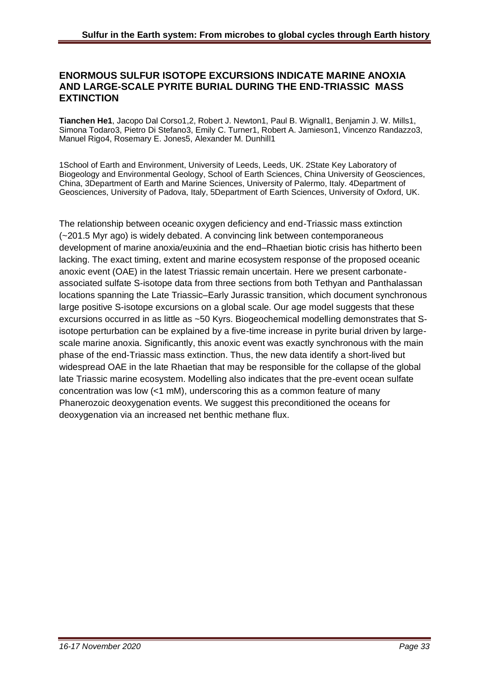#### **ENORMOUS SULFUR ISOTOPE EXCURSIONS INDICATE MARINE ANOXIA AND LARGE-SCALE PYRITE BURIAL DURING THE END-TRIASSIC MASS EXTINCTION**

**Tianchen He1**, Jacopo Dal Corso1,2, Robert J. Newton1, Paul B. Wignall1, Benjamin J. W. Mills1, Simona Todaro3, Pietro Di Stefano3, Emily C. Turner1, Robert A. Jamieson1, Vincenzo Randazzo3, Manuel Rigo4, Rosemary E. Jones5, Alexander M. Dunhill1

1School of Earth and Environment, University of Leeds, Leeds, UK. 2State Key Laboratory of Biogeology and Environmental Geology, School of Earth Sciences, China University of Geosciences, China, 3Department of Earth and Marine Sciences, University of Palermo, Italy. 4Department of Geosciences, University of Padova, Italy, 5Department of Earth Sciences, University of Oxford, UK.

The relationship between oceanic oxygen deficiency and end-Triassic mass extinction (~201.5 Myr ago) is widely debated. A convincing link between contemporaneous development of marine anoxia/euxinia and the end–Rhaetian biotic crisis has hitherto been lacking. The exact timing, extent and marine ecosystem response of the proposed oceanic anoxic event (OAE) in the latest Triassic remain uncertain. Here we present carbonateassociated sulfate S-isotope data from three sections from both Tethyan and Panthalassan locations spanning the Late Triassic–Early Jurassic transition, which document synchronous large positive S-isotope excursions on a global scale. Our age model suggests that these excursions occurred in as little as ~50 Kyrs. Biogeochemical modelling demonstrates that Sisotope perturbation can be explained by a five-time increase in pyrite burial driven by largescale marine anoxia. Significantly, this anoxic event was exactly synchronous with the main phase of the end-Triassic mass extinction. Thus, the new data identify a short-lived but widespread OAE in the late Rhaetian that may be responsible for the collapse of the global late Triassic marine ecosystem. Modelling also indicates that the pre-event ocean sulfate concentration was low (<1 mM), underscoring this as a common feature of many Phanerozoic deoxygenation events. We suggest this preconditioned the oceans for deoxygenation via an increased net benthic methane flux.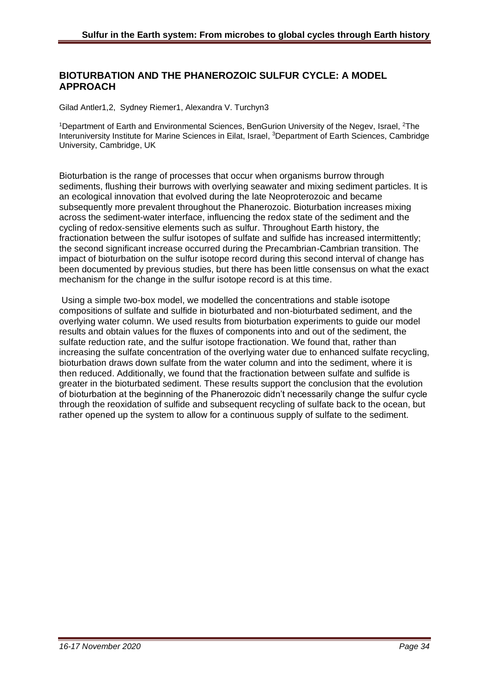#### **BIOTURBATION AND THE PHANEROZOIC SULFUR CYCLE: A MODEL APPROACH**

Gilad Antler1,2, Sydney Riemer1, Alexandra V. Turchyn3

<sup>1</sup>Department of Earth and Environmental Sciences, BenGurion University of the Negev, Israel, <sup>2</sup>The Interuniversity Institute for Marine Sciences in Eilat, Israel, <sup>3</sup>Department of Earth Sciences, Cambridge University, Cambridge, UK

Bioturbation is the range of processes that occur when organisms burrow through sediments, flushing their burrows with overlying seawater and mixing sediment particles. It is an ecological innovation that evolved during the late Neoproterozoic and became subsequently more prevalent throughout the Phanerozoic. Bioturbation increases mixing across the sediment-water interface, influencing the redox state of the sediment and the cycling of redox-sensitive elements such as sulfur. Throughout Earth history, the fractionation between the sulfur isotopes of sulfate and sulfide has increased intermittently; the second significant increase occurred during the Precambrian-Cambrian transition. The impact of bioturbation on the sulfur isotope record during this second interval of change has been documented by previous studies, but there has been little consensus on what the exact mechanism for the change in the sulfur isotope record is at this time.

Using a simple two-box model, we modelled the concentrations and stable isotope compositions of sulfate and sulfide in bioturbated and non-bioturbated sediment, and the overlying water column. We used results from bioturbation experiments to guide our model results and obtain values for the fluxes of components into and out of the sediment, the sulfate reduction rate, and the sulfur isotope fractionation. We found that, rather than increasing the sulfate concentration of the overlying water due to enhanced sulfate recycling, bioturbation draws down sulfate from the water column and into the sediment, where it is then reduced. Additionally, we found that the fractionation between sulfate and sulfide is greater in the bioturbated sediment. These results support the conclusion that the evolution of bioturbation at the beginning of the Phanerozoic didn't necessarily change the sulfur cycle through the reoxidation of sulfide and subsequent recycling of sulfate back to the ocean, but rather opened up the system to allow for a continuous supply of sulfate to the sediment.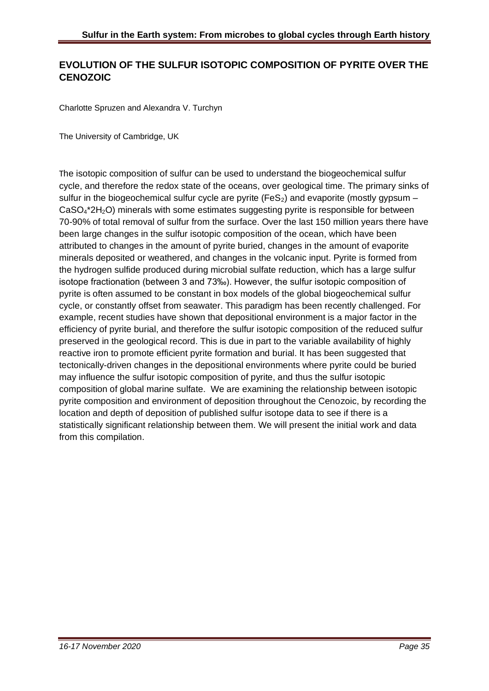## **EVOLUTION OF THE SULFUR ISOTOPIC COMPOSITION OF PYRITE OVER THE CENOZOIC**

Charlotte Spruzen and Alexandra V. Turchyn

The University of Cambridge, UK

The isotopic composition of sulfur can be used to understand the biogeochemical sulfur cycle, and therefore the redox state of the oceans, over geological time. The primary sinks of sulfur in the biogeochemical sulfur cycle are pyrite (FeS<sub>2</sub>) and evaporite (mostly gypsum  $-$ CaSO4\*2H2O) minerals with some estimates suggesting pyrite is responsible for between 70-90% of total removal of sulfur from the surface. Over the last 150 million years there have been large changes in the sulfur isotopic composition of the ocean, which have been attributed to changes in the amount of pyrite buried, changes in the amount of evaporite minerals deposited or weathered, and changes in the volcanic input. Pyrite is formed from the hydrogen sulfide produced during microbial sulfate reduction, which has a large sulfur isotope fractionation (between 3 and 73‰). However, the sulfur isotopic composition of pyrite is often assumed to be constant in box models of the global biogeochemical sulfur cycle, or constantly offset from seawater. This paradigm has been recently challenged. For example, recent studies have shown that depositional environment is a major factor in the efficiency of pyrite burial, and therefore the sulfur isotopic composition of the reduced sulfur preserved in the geological record. This is due in part to the variable availability of highly reactive iron to promote efficient pyrite formation and burial. It has been suggested that tectonically-driven changes in the depositional environments where pyrite could be buried may influence the sulfur isotopic composition of pyrite, and thus the sulfur isotopic composition of global marine sulfate. We are examining the relationship between isotopic pyrite composition and environment of deposition throughout the Cenozoic, by recording the location and depth of deposition of published sulfur isotope data to see if there is a statistically significant relationship between them. We will present the initial work and data from this compilation.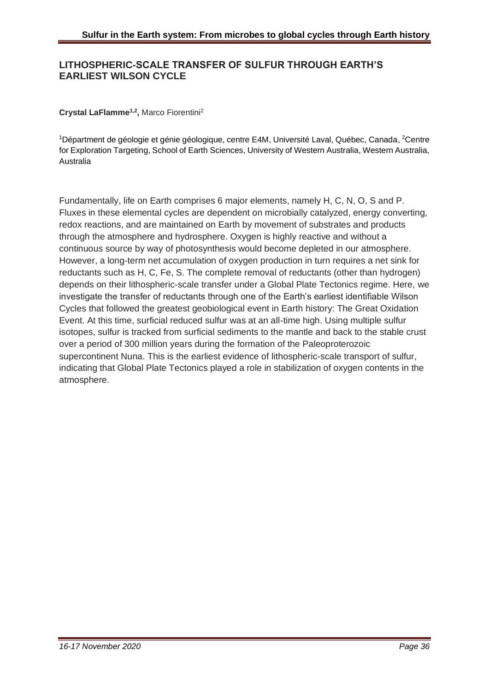#### **LITHOSPHERIC-SCALE TRANSFER OF SULFUR THROUGH EARTH'S EARLIEST WILSON CYCLE**

#### **Crystal LaFlamme1,2 ,** Marco Fiorentini<sup>2</sup>

1Départment de géologie et génie géologique, centre E4M, Université Laval, Québec, Canada, <sup>2</sup>Centre for Exploration Targeting, School of Earth Sciences, University of Western Australia, Western Australia, Australia

Fundamentally, life on Earth comprises 6 major elements, namely H, C, N, O, S and P. Fluxes in these elemental cycles are dependent on microbially catalyzed, energy converting, redox reactions, and are maintained on Earth by movement of substrates and products through the atmosphere and hydrosphere. Oxygen is highly reactive and without a continuous source by way of photosynthesis would become depleted in our atmosphere. However, a long-term net accumulation of oxygen production in turn requires a net sink for reductants such as H, C, Fe, S. The complete removal of reductants (other than hydrogen) depends on their lithospheric-scale transfer under a Global Plate Tectonics regime. Here, we investigate the transfer of reductants through one of the Earth's earliest identifiable Wilson Cycles that followed the greatest geobiological event in Earth history: The Great Oxidation Event. At this time, surficial reduced sulfur was at an all-time high. Using multiple sulfur isotopes, sulfur is tracked from surficial sediments to the mantle and back to the stable crust over a period of 300 million years during the formation of the Paleoproterozoic supercontinent Nuna. This is the earliest evidence of lithospheric-scale transport of sulfur, indicating that Global Plate Tectonics played a role in stabilization of oxygen contents in the atmosphere.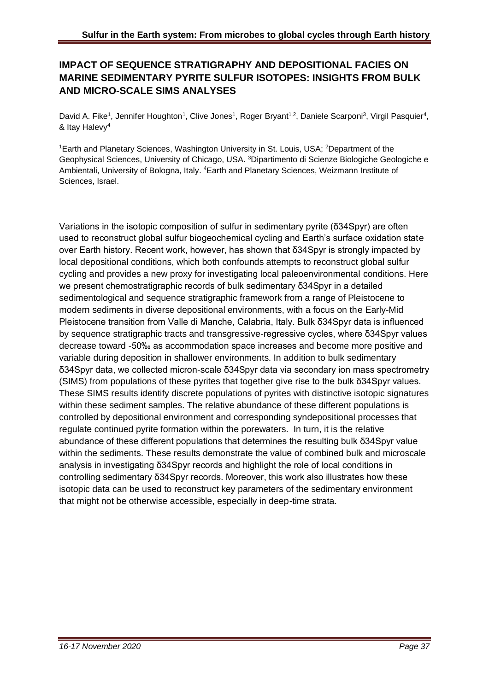## **IMPACT OF SEQUENCE STRATIGRAPHY AND DEPOSITIONAL FACIES ON MARINE SEDIMENTARY PYRITE SULFUR ISOTOPES: INSIGHTS FROM BULK AND MICRO-SCALE SIMS ANALYSES**

David A. Fike<sup>1</sup>, Jennifer Houghton<sup>1</sup>, Clive Jones<sup>1</sup>, Roger Bryant<sup>1,2</sup>, Daniele Scarponi<sup>3</sup>, Virgil Pasquier<sup>4</sup>, & Itay Halevy<sup>4</sup>

<sup>1</sup>Earth and Planetary Sciences, Washington University in St. Louis, USA; <sup>2</sup>Department of the Geophysical Sciences, University of Chicago, USA. <sup>3</sup>Dipartimento di Scienze Biologiche Geologiche e Ambientali, University of Bologna, Italy. <sup>4</sup> Earth and Planetary Sciences, Weizmann Institute of Sciences, Israel.

Variations in the isotopic composition of sulfur in sedimentary pyrite (δ34Spyr) are often used to reconstruct global sulfur biogeochemical cycling and Earth's surface oxidation state over Earth history. Recent work, however, has shown that δ34Spyr is strongly impacted by local depositional conditions, which both confounds attempts to reconstruct global sulfur cycling and provides a new proxy for investigating local paleoenvironmental conditions. Here we present chemostratigraphic records of bulk sedimentary δ34Spyr in a detailed sedimentological and sequence stratigraphic framework from a range of Pleistocene to modern sediments in diverse depositional environments, with a focus on the Early-Mid Pleistocene transition from Valle di Manche, Calabria, Italy. Bulk δ34Spyr data is influenced by sequence stratigraphic tracts and transgressive-regressive cycles, where δ34Spyr values decrease toward -50‰ as accommodation space increases and become more positive and variable during deposition in shallower environments. In addition to bulk sedimentary δ34Spyr data, we collected micron-scale δ34Spyr data via secondary ion mass spectrometry (SIMS) from populations of these pyrites that together give rise to the bulk δ34Spyr values. These SIMS results identify discrete populations of pyrites with distinctive isotopic signatures within these sediment samples. The relative abundance of these different populations is controlled by depositional environment and corresponding syndepositional processes that regulate continued pyrite formation within the porewaters. In turn, it is the relative abundance of these different populations that determines the resulting bulk δ34Spyr value within the sediments. These results demonstrate the value of combined bulk and microscale analysis in investigating δ34Spyr records and highlight the role of local conditions in controlling sedimentary δ34Spyr records. Moreover, this work also illustrates how these isotopic data can be used to reconstruct key parameters of the sedimentary environment that might not be otherwise accessible, especially in deep-time strata.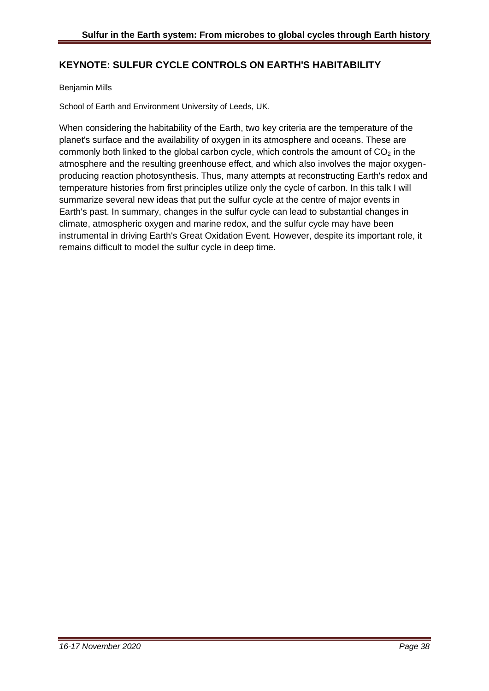## **KEYNOTE: SULFUR CYCLE CONTROLS ON EARTH'S HABITABILITY**

#### Benjamin Mills

School of Earth and Environment University of Leeds, UK.

When considering the habitability of the Earth, two key criteria are the temperature of the planet's surface and the availability of oxygen in its atmosphere and oceans. These are commonly both linked to the global carbon cycle, which controls the amount of  $CO<sub>2</sub>$  in the atmosphere and the resulting greenhouse effect, and which also involves the major oxygenproducing reaction photosynthesis. Thus, many attempts at reconstructing Earth's redox and temperature histories from first principles utilize only the cycle of carbon. In this talk I will summarize several new ideas that put the sulfur cycle at the centre of major events in Earth's past. In summary, changes in the sulfur cycle can lead to substantial changes in climate, atmospheric oxygen and marine redox, and the sulfur cycle may have been instrumental in driving Earth's Great Oxidation Event. However, despite its important role, it remains difficult to model the sulfur cycle in deep time.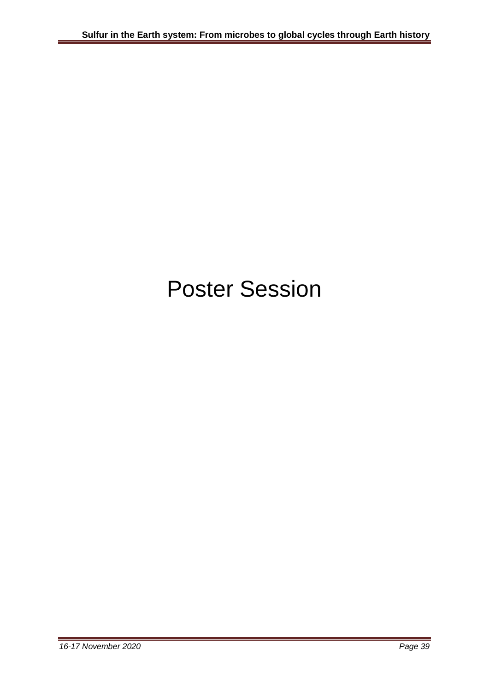# Poster Session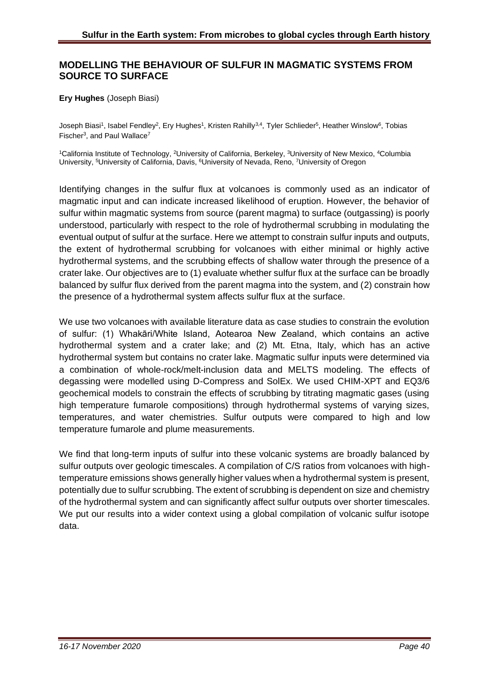#### **MODELLING THE BEHAVIOUR OF SULFUR IN MAGMATIC SYSTEMS FROM SOURCE TO SURFACE**

#### **Ery Hughes** (Joseph Biasi)

Joseph Biasi<sup>1</sup>, Isabel Fendley<sup>2</sup>, Ery Hughes<sup>1</sup>, Kristen Rahilly<sup>3,4</sup>, Tyler Schlieder<sup>5</sup>, Heather Winslow<sup>6</sup>, Tobias Fischer<sup>3</sup>, and Paul Wallace<sup>7</sup>

<sup>1</sup>California Institute of Technology, <sup>2</sup>University of California, Berkeley, <sup>3</sup>University of New Mexico, <sup>4</sup>Columbia University, <sup>5</sup>University of California, Davis, <sup>6</sup>University of Nevada, Reno, <sup>7</sup>University of Oregon

Identifying changes in the sulfur flux at volcanoes is commonly used as an indicator of magmatic input and can indicate increased likelihood of eruption. However, the behavior of sulfur within magmatic systems from source (parent magma) to surface (outgassing) is poorly understood, particularly with respect to the role of hydrothermal scrubbing in modulating the eventual output of sulfur at the surface. Here we attempt to constrain sulfur inputs and outputs, the extent of hydrothermal scrubbing for volcanoes with either minimal or highly active hydrothermal systems, and the scrubbing effects of shallow water through the presence of a crater lake. Our objectives are to (1) evaluate whether sulfur flux at the surface can be broadly balanced by sulfur flux derived from the parent magma into the system, and (2) constrain how the presence of a hydrothermal system affects sulfur flux at the surface.

We use two volcanoes with available literature data as case studies to constrain the evolution of sulfur: (1) Whakāri/White Island, Aotearoa New Zealand, which contains an active hydrothermal system and a crater lake; and (2) Mt. Etna, Italy, which has an active hydrothermal system but contains no crater lake. Magmatic sulfur inputs were determined via a combination of whole-rock/melt-inclusion data and MELTS modeling. The effects of degassing were modelled using D-Compress and SolEx. We used CHIM-XPT and EQ3/6 geochemical models to constrain the effects of scrubbing by titrating magmatic gases (using high temperature fumarole compositions) through hydrothermal systems of varying sizes, temperatures, and water chemistries. Sulfur outputs were compared to high and low temperature fumarole and plume measurements.

We find that long-term inputs of sulfur into these volcanic systems are broadly balanced by sulfur outputs over geologic timescales. A compilation of C/S ratios from volcanoes with hightemperature emissions shows generally higher values when a hydrothermal system is present, potentially due to sulfur scrubbing. The extent of scrubbing is dependent on size and chemistry of the hydrothermal system and can significantly affect sulfur outputs over shorter timescales. We put our results into a wider context using a global compilation of volcanic sulfur isotope data.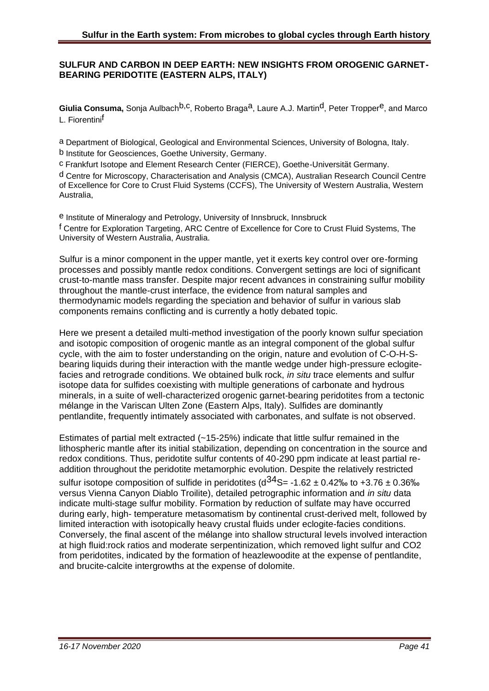#### **SULFUR AND CARBON IN DEEP EARTH: NEW INSIGHTS FROM OROGENIC GARNET-BEARING PERIDOTITE (EASTERN ALPS, ITALY)**

Giulia Consuma, Sonia Aulbach<sup>b, C</sup>, Roberto Braga<sup>a</sup>, Laure A.J. Martin<sup>d</sup>, Peter Tropper<sup>e</sup>, and Marco L. Fiorentini<sup>f</sup>

a Department of Biological, Geological and Environmental Sciences, University of Bologna, Italy. b Institute for Geosciences, Goethe University, Germany.

c Frankfurt Isotope and Element Research Center (FIERCE), Goethe-Universität Germany.

d Centre for Microscopy, Characterisation and Analysis (CMCA), Australian Research Council Centre of Excellence for Core to Crust Fluid Systems (CCFS), The University of Western Australia, Western Australia,

e Institute of Mineralogy and Petrology, University of Innsbruck, Innsbruck f Centre for Exploration Targeting, ARC Centre of Excellence for Core to Crust Fluid Systems, The University of Western Australia, Australia.

Sulfur is a minor component in the upper mantle, yet it exerts key control over ore-forming processes and possibly mantle redox conditions. Convergent settings are loci of significant crust-to-mantle mass transfer. Despite major recent advances in constraining sulfur mobility throughout the mantle-crust interface, the evidence from natural samples and thermodynamic models regarding the speciation and behavior of sulfur in various slab components remains conflicting and is currently a hotly debated topic.

Here we present a detailed multi-method investigation of the poorly known sulfur speciation and isotopic composition of orogenic mantle as an integral component of the global sulfur cycle, with the aim to foster understanding on the origin, nature and evolution of C-O-H-Sbearing liquids during their interaction with the mantle wedge under high-pressure eclogitefacies and retrograde conditions. We obtained bulk rock, *in situ* trace elements and sulfur isotope data for sulfides coexisting with multiple generations of carbonate and hydrous minerals, in a suite of well-characterized orogenic garnet-bearing peridotites from a tectonic mélange in the Variscan Ulten Zone (Eastern Alps, Italy). Sulfides are dominantly pentlandite, frequently intimately associated with carbonates, and sulfate is not observed.

Estimates of partial melt extracted (~15-25%) indicate that little sulfur remained in the lithospheric mantle after its initial stabilization, depending on concentration in the source and redox conditions. Thus, peridotite sulfur contents of 40-290 ppm indicate at least partial readdition throughout the peridotite metamorphic evolution. Despite the relatively restricted

sulfur isotope composition of sulfide in peridotites  $(d^{34}S = -1.62 \pm 0.42\%)$  to  $+3.76 \pm 0.36\%$ versus Vienna Canyon Diablo Troilite), detailed petrographic information and *in situ* data indicate multi-stage sulfur mobility. Formation by reduction of sulfate may have occurred during early, high- temperature metasomatism by continental crust-derived melt, followed by limited interaction with isotopically heavy crustal fluids under eclogite-facies conditions. Conversely, the final ascent of the mélange into shallow structural levels involved interaction at high fluid:rock ratios and moderate serpentinization, which removed light sulfur and CO2 from peridotites, indicated by the formation of heazlewoodite at the expense of pentlandite, and brucite-calcite intergrowths at the expense of dolomite.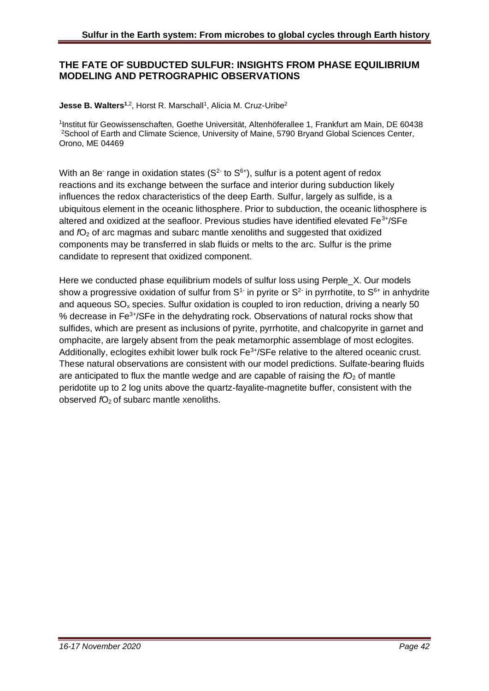#### **THE FATE OF SUBDUCTED SULFUR: INSIGHTS FROM PHASE EQUILIBRIUM MODELING AND PETROGRAPHIC OBSERVATIONS**

**Jesse B. Walters<sup>1,2</sup>, Horst R. Marschall<sup>1</sup>, Alicia M. Cruz-Uribe<sup>2</sup>** 

1 Institut für Geowissenschaften, Goethe Universität, Altenhöferallee 1, Frankfurt am Main, DE 60438 <sup>2</sup>School of Earth and Climate Science, University of Maine, 5790 Bryand Global Sciences Center, Orono, ME 04469

With an 8e range in oxidation states ( $S<sup>2</sup>$  to  $S<sup>6+</sup>$ ), sulfur is a potent agent of redox reactions and its exchange between the surface and interior during subduction likely influences the redox characteristics of the deep Earth. Sulfur, largely as sulfide, is a ubiquitous element in the oceanic lithosphere. Prior to subduction, the oceanic lithosphere is altered and oxidized at the seafloor. Previous studies have identified elevated  $Fe^{3+}/SFe$ and *f*O<sub>2</sub> of arc magmas and subarc mantle xenoliths and suggested that oxidized components may be transferred in slab fluids or melts to the arc. Sulfur is the prime candidate to represent that oxidized component.

Here we conducted phase equilibrium models of sulfur loss using Perple\_X. Our models show a progressive oxidation of sulfur from  $S<sup>1</sup>$  in pyrite or  $S<sup>2</sup>$  in pyrrhotite, to  $S<sup>6+</sup>$  in anhydrite and aqueous  $SO<sub>x</sub>$  species. Sulfur oxidation is coupled to iron reduction, driving a nearly 50 % decrease in Fe3+/SFe in the dehydrating rock. Observations of natural rocks show that sulfides, which are present as inclusions of pyrite, pyrrhotite, and chalcopyrite in garnet and omphacite, are largely absent from the peak metamorphic assemblage of most eclogites. Additionally, eclogites exhibit lower bulk rock  $Fe<sup>3+/</sup>SFe$  relative to the altered oceanic crust. These natural observations are consistent with our model predictions. Sulfate-bearing fluids are anticipated to flux the mantle wedge and are capable of raising the  $fO<sub>2</sub>$  of mantle peridotite up to 2 log units above the quartz-fayalite-magnetite buffer, consistent with the observed *f*O<sub>2</sub> of subarc mantle xenoliths.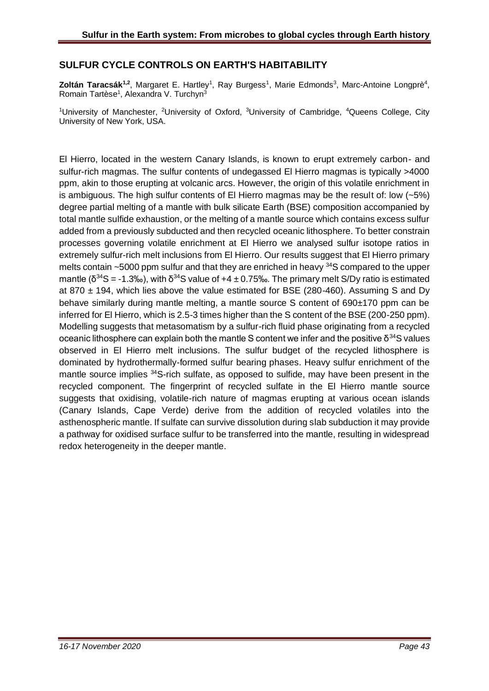## **SULFUR CYCLE CONTROLS ON EARTH'S HABITABILITY**

**Zoltán Taracsák<sup>1,2</sup>, Margaret E. Hartley<sup>1</sup>, Ray Burgess<sup>1</sup>, Marie Edmonds<sup>3</sup>, Marc-Antoine Longprè<sup>4</sup>,** Romain Tartèse<sup>1</sup>, Alexandra V. Turchyn<sup>3</sup>

<sup>1</sup>University of Manchester, <sup>2</sup>University of Oxford, <sup>3</sup>University of Cambridge, <sup>4</sup>Queens College, City University of New York, USA.

El Hierro, located in the western Canary Islands, is known to erupt extremely carbon- and sulfur-rich magmas. The sulfur contents of undegassed El Hierro magmas is typically >4000 ppm, akin to those erupting at volcanic arcs. However, the origin of this volatile enrichment in is ambiguous. The high sulfur contents of El Hierro magmas may be the result of: low  $(-5%)$ degree partial melting of a mantle with bulk silicate Earth (BSE) composition accompanied by total mantle sulfide exhaustion, or the melting of a mantle source which contains excess sulfur added from a previously subducted and then recycled oceanic lithosphere. To better constrain processes governing volatile enrichment at El Hierro we analysed sulfur isotope ratios in extremely sulfur-rich melt inclusions from El Hierro. Our results suggest that El Hierro primary melts contain ~5000 ppm sulfur and that they are enriched in heavy <sup>34</sup>S compared to the upper mantle ( $\delta^{34}$ S = -1.3‰), with  $\delta^{34}$ S value of +4 ± 0.75‰. The primary melt S/Dy ratio is estimated at 870  $\pm$  194, which lies above the value estimated for BSE (280-460). Assuming S and Dy behave similarly during mantle melting, a mantle source S content of 690±170 ppm can be inferred for El Hierro, which is 2.5-3 times higher than the S content of the BSE (200-250 ppm). Modelling suggests that metasomatism by a sulfur-rich fluid phase originating from a recycled oceanic lithosphere can explain both the mantle S content we infer and the positive δ<sup>34</sup>S values observed in El Hierro melt inclusions. The sulfur budget of the recycled lithosphere is dominated by hydrothermally-formed sulfur bearing phases. Heavy sulfur enrichment of the mantle source implies <sup>34</sup>S-rich sulfate, as opposed to sulfide, may have been present in the recycled component. The fingerprint of recycled sulfate in the El Hierro mantle source suggests that oxidising, volatile-rich nature of magmas erupting at various ocean islands (Canary Islands, Cape Verde) derive from the addition of recycled volatiles into the asthenospheric mantle. If sulfate can survive dissolution during slab subduction it may provide a pathway for oxidised surface sulfur to be transferred into the mantle, resulting in widespread redox heterogeneity in the deeper mantle.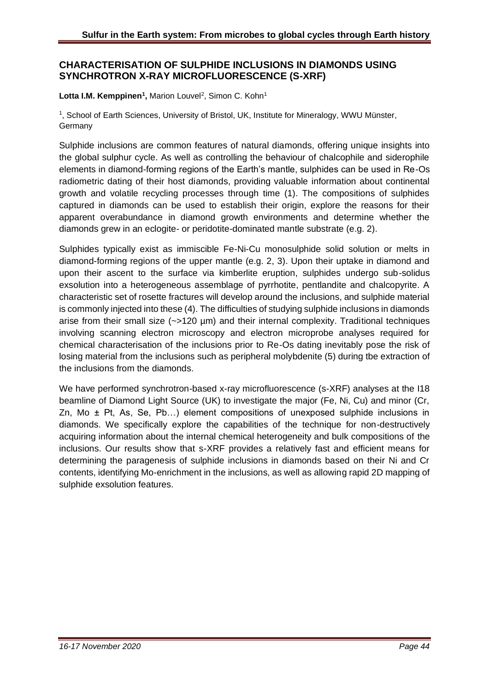#### **CHARACTERISATION OF SULPHIDE INCLUSIONS IN DIAMONDS USING SYNCHROTRON X-RAY MICROFLUORESCENCE (S-XRF)**

#### Lotta I.M. Kemppinen<sup>1</sup>, Marion Louvel<sup>2</sup>, Simon C. Kohn<sup>1</sup>

1 , School of Earth Sciences, University of Bristol, UK, Institute for Mineralogy, WWU Münster, **Germany** 

Sulphide inclusions are common features of natural diamonds, offering unique insights into the global sulphur cycle. As well as controlling the behaviour of chalcophile and siderophile elements in diamond-forming regions of the Earth's mantle, sulphides can be used in Re-Os radiometric dating of their host diamonds, providing valuable information about continental growth and volatile recycling processes through time (1). The compositions of sulphides captured in diamonds can be used to establish their origin, explore the reasons for their apparent overabundance in diamond growth environments and determine whether the diamonds grew in an eclogite- or peridotite-dominated mantle substrate (e.g. 2).

Sulphides typically exist as immiscible Fe-Ni-Cu monosulphide solid solution or melts in diamond-forming regions of the upper mantle (e.g. 2, 3). Upon their uptake in diamond and upon their ascent to the surface via kimberlite eruption, sulphides undergo sub-solidus exsolution into a heterogeneous assemblage of pyrrhotite, pentlandite and chalcopyrite. A characteristic set of rosette fractures will develop around the inclusions, and sulphide material is commonly injected into these (4). The difficulties of studying sulphide inclusions in diamonds arise from their small size (~>120 µm) and their internal complexity. Traditional techniques involving scanning electron microscopy and electron microprobe analyses required for chemical characterisation of the inclusions prior to Re-Os dating inevitably pose the risk of losing material from the inclusions such as peripheral molybdenite (5) during tbe extraction of the inclusions from the diamonds.

We have performed synchrotron-based x-ray microfluorescence (s-XRF) analyses at the I18 beamline of Diamond Light Source (UK) to investigate the major (Fe, Ni, Cu) and minor (Cr, Zn, Mo  $\pm$  Pt, As, Se, Pb...) element compositions of unexposed sulphide inclusions in diamonds. We specifically explore the capabilities of the technique for non-destructively acquiring information about the internal chemical heterogeneity and bulk compositions of the inclusions. Our results show that s-XRF provides a relatively fast and efficient means for determining the paragenesis of sulphide inclusions in diamonds based on their Ni and Cr contents, identifying Mo-enrichment in the inclusions, as well as allowing rapid 2D mapping of sulphide exsolution features.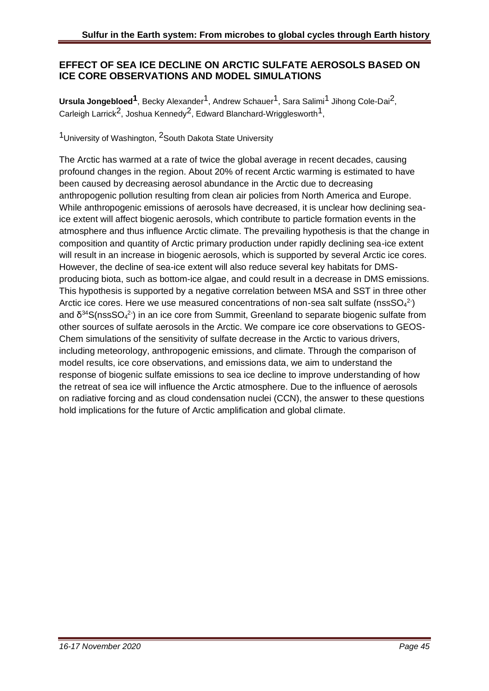#### **EFFECT OF SEA ICE DECLINE ON ARCTIC SULFATE AEROSOLS BASED ON ICE CORE OBSERVATIONS AND MODEL SIMULATIONS**

**Ursula Jongebloed<sup>1</sup>**, Becky Alexander<sup>1</sup>, Andrew Schauer<sup>1</sup>, Sara Salimi<sup>1</sup> Jihong Cole-Dai<sup>2</sup>, Carleigh Larrick<sup>2</sup>, Joshua Kennedy<sup>2</sup>, Edward Blanchard-Wrigglesworth<sup>1</sup>,

<sup>1</sup> University of Washington, <sup>2</sup> South Dakota State University

The Arctic has warmed at a rate of twice the global average in recent decades, causing profound changes in the region. About 20% of recent Arctic warming is estimated to have been caused by decreasing aerosol abundance in the Arctic due to decreasing anthropogenic pollution resulting from clean air policies from North America and Europe. While anthropogenic emissions of aerosols have decreased, it is unclear how declining seaice extent will affect biogenic aerosols, which contribute to particle formation events in the atmosphere and thus influence Arctic climate. The prevailing hypothesis is that the change in composition and quantity of Arctic primary production under rapidly declining sea-ice extent will result in an increase in biogenic aerosols, which is supported by several Arctic ice cores. However, the decline of sea-ice extent will also reduce several key habitats for DMSproducing biota, such as bottom-ice algae, and could result in a decrease in DMS emissions. This hypothesis is supported by a negative correlation between MSA and SST in three other Arctic ice cores. Here we use measured concentrations of non-sea salt sulfate (nssSO $_4^2$ ) and  $\delta^{34}S(\text{nssSO}_4^2)$  in an ice core from Summit, Greenland to separate biogenic sulfate from other sources of sulfate aerosols in the Arctic. We compare ice core observations to GEOS-Chem simulations of the sensitivity of sulfate decrease in the Arctic to various drivers, including meteorology, anthropogenic emissions, and climate. Through the comparison of model results, ice core observations, and emissions data, we aim to understand the response of biogenic sulfate emissions to sea ice decline to improve understanding of how the retreat of sea ice will influence the Arctic atmosphere. Due to the influence of aerosols on radiative forcing and as cloud condensation nuclei (CCN), the answer to these questions hold implications for the future of Arctic amplification and global climate.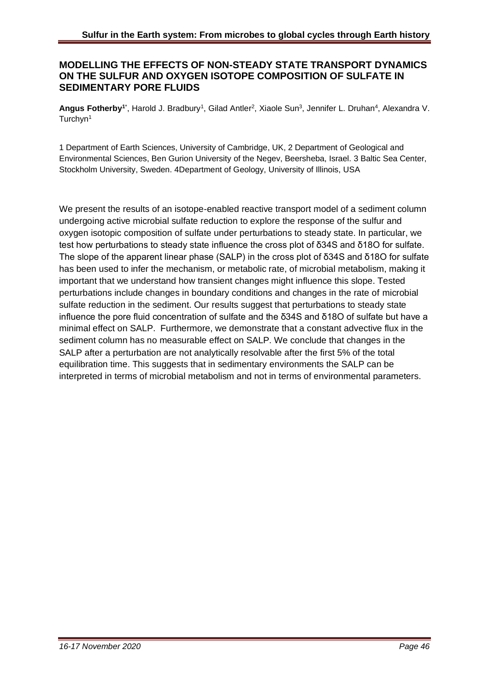#### **MODELLING THE EFFECTS OF NON-STEADY STATE TRANSPORT DYNAMICS ON THE SULFUR AND OXYGEN ISOTOPE COMPOSITION OF SULFATE IN SEDIMENTARY PORE FLUIDS**

Angus Fotherby<sup>1\*</sup>, Harold J. Bradbury<sup>1</sup>, Gilad Antler<sup>2</sup>, Xiaole Sun<sup>3</sup>, Jennifer L. Druhan<sup>4</sup>, Alexandra V. Turchyn<sup>1</sup>

1 Department of Earth Sciences, University of Cambridge, UK, 2 Department of Geological and Environmental Sciences, Ben Gurion University of the Negev, Beersheba, Israel. 3 Baltic Sea Center, Stockholm University, Sweden. 4Department of Geology, University of Illinois, USA

We present the results of an isotope-enabled reactive transport model of a sediment column undergoing active microbial sulfate reduction to explore the response of the sulfur and oxygen isotopic composition of sulfate under perturbations to steady state. In particular, we test how perturbations to steady state influence the cross plot of δ34S and δ18O for sulfate. The slope of the apparent linear phase (SALP) in the cross plot of δ34S and δ18O for sulfate has been used to infer the mechanism, or metabolic rate, of microbial metabolism, making it important that we understand how transient changes might influence this slope. Tested perturbations include changes in boundary conditions and changes in the rate of microbial sulfate reduction in the sediment. Our results suggest that perturbations to steady state influence the pore fluid concentration of sulfate and the δ34S and δ18O of sulfate but have a minimal effect on SALP. Furthermore, we demonstrate that a constant advective flux in the sediment column has no measurable effect on SALP. We conclude that changes in the SALP after a perturbation are not analytically resolvable after the first 5% of the total equilibration time. This suggests that in sedimentary environments the SALP can be interpreted in terms of microbial metabolism and not in terms of environmental parameters.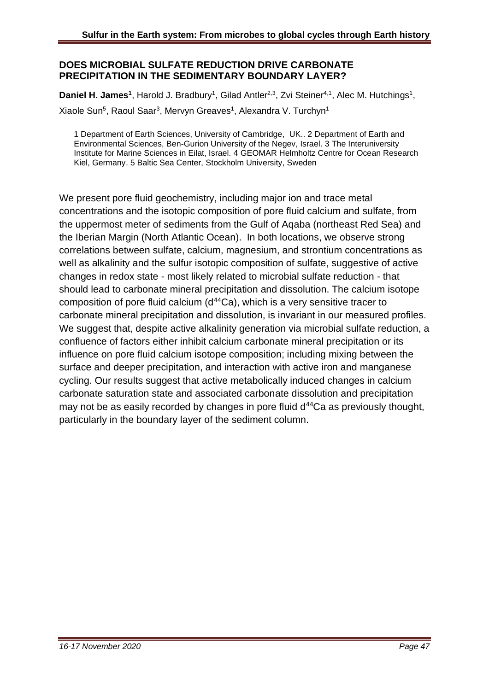#### **DOES MICROBIAL SULFATE REDUCTION DRIVE CARBONATE PRECIPITATION IN THE SEDIMENTARY BOUNDARY LAYER?**

Daniel H. James<sup>1</sup>, Harold J. Bradbury<sup>1</sup>, Gilad Antler<sup>2,3</sup>, Zvi Steiner<sup>4,1</sup>, Alec M. Hutchings<sup>1</sup>, Xiaole Sun<sup>5</sup>, Raoul Saar<sup>3</sup>, Mervyn Greaves<sup>1</sup>, Alexandra V. Turchyn<sup>1</sup>

1 Department of Earth Sciences, University of Cambridge, UK.. 2 Department of Earth and Environmental Sciences, Ben-Gurion University of the Negev, Israel. 3 The Interuniversity Institute for Marine Sciences in Eilat, Israel. 4 GEOMAR Helmholtz Centre for Ocean Research Kiel, Germany. 5 Baltic Sea Center, Stockholm University, Sweden

We present pore fluid geochemistry, including major ion and trace metal concentrations and the isotopic composition of pore fluid calcium and sulfate, from the uppermost meter of sediments from the Gulf of Aqaba (northeast Red Sea) and the Iberian Margin (North Atlantic Ocean). In both locations, we observe strong correlations between sulfate, calcium, magnesium, and strontium concentrations as well as alkalinity and the sulfur isotopic composition of sulfate, suggestive of active changes in redox state - most likely related to microbial sulfate reduction - that should lead to carbonate mineral precipitation and dissolution. The calcium isotope composition of pore fluid calcium (d<sup>44</sup>Ca), which is a very sensitive tracer to carbonate mineral precipitation and dissolution, is invariant in our measured profiles. We suggest that, despite active alkalinity generation via microbial sulfate reduction, a confluence of factors either inhibit calcium carbonate mineral precipitation or its influence on pore fluid calcium isotope composition; including mixing between the surface and deeper precipitation, and interaction with active iron and manganese cycling. Our results suggest that active metabolically induced changes in calcium carbonate saturation state and associated carbonate dissolution and precipitation may not be as easily recorded by changes in pore fluid  $d^{44}Ca$  as previously thought, particularly in the boundary layer of the sediment column.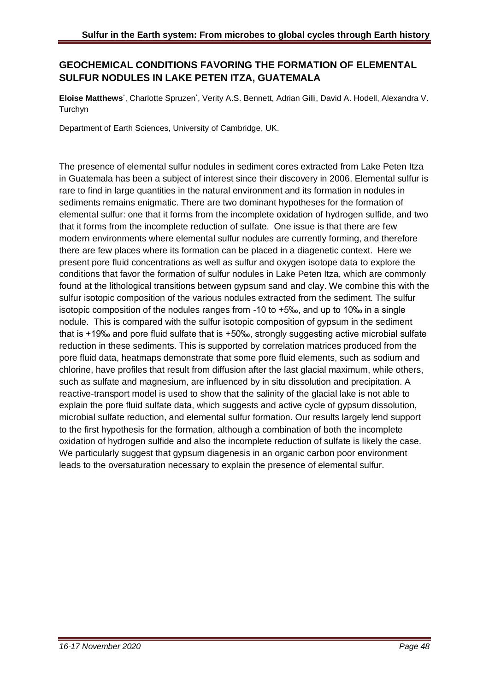## **GEOCHEMICAL CONDITIONS FAVORING THE FORMATION OF ELEMENTAL SULFUR NODULES IN LAKE PETEN ITZA, GUATEMALA**

Eloise Matthews<sup>\*</sup>, Charlotte Spruzen<sup>\*</sup>, Verity A.S. Bennett, Adrian Gilli, David A. Hodell, Alexandra V. Turchyn

Department of Earth Sciences, University of Cambridge, UK.

The presence of elemental sulfur nodules in sediment cores extracted from Lake Peten Itza in Guatemala has been a subject of interest since their discovery in 2006. Elemental sulfur is rare to find in large quantities in the natural environment and its formation in nodules in sediments remains enigmatic. There are two dominant hypotheses for the formation of elemental sulfur: one that it forms from the incomplete oxidation of hydrogen sulfide, and two that it forms from the incomplete reduction of sulfate. One issue is that there are few modern environments where elemental sulfur nodules are currently forming, and therefore there are few places where its formation can be placed in a diagenetic context. Here we present pore fluid concentrations as well as sulfur and oxygen isotope data to explore the conditions that favor the formation of sulfur nodules in Lake Peten Itza, which are commonly found at the lithological transitions between gypsum sand and clay. We combine this with the sulfur isotopic composition of the various nodules extracted from the sediment. The sulfur isotopic composition of the nodules ranges from -10 to +5‰, and up to 10‰ in a single nodule. This is compared with the sulfur isotopic composition of gypsum in the sediment that is +19‰ and pore fluid sulfate that is +50‰, strongly suggesting active microbial sulfate reduction in these sediments. This is supported by correlation matrices produced from the pore fluid data, heatmaps demonstrate that some pore fluid elements, such as sodium and chlorine, have profiles that result from diffusion after the last glacial maximum, while others, such as sulfate and magnesium, are influenced by in situ dissolution and precipitation. A reactive-transport model is used to show that the salinity of the glacial lake is not able to explain the pore fluid sulfate data, which suggests and active cycle of gypsum dissolution, microbial sulfate reduction, and elemental sulfur formation. Our results largely lend support to the first hypothesis for the formation, although a combination of both the incomplete oxidation of hydrogen sulfide and also the incomplete reduction of sulfate is likely the case. We particularly suggest that gypsum diagenesis in an organic carbon poor environment leads to the oversaturation necessary to explain the presence of elemental sulfur.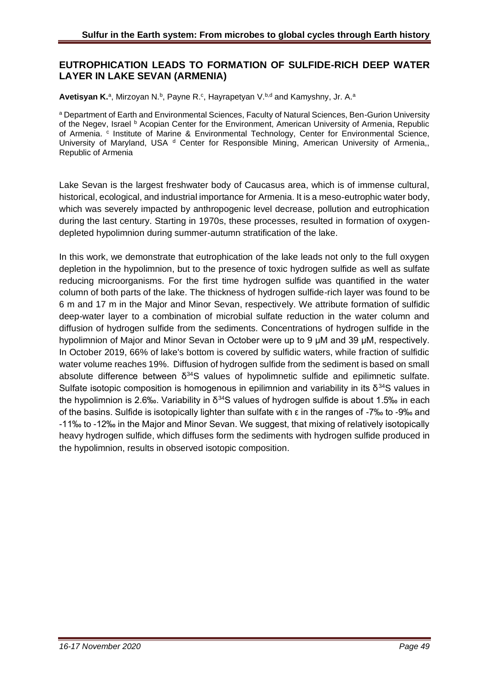#### **EUTROPHICATION LEADS TO FORMATION OF SULFIDE-RICH DEEP WATER LAYER IN LAKE SEVAN (ARMENIA)**

Avetisyan K.<sup>a</sup>, Mirzoyan N.<sup>b</sup>, Payne R.<sup>c</sup>, Hayrapetyan V.<sup>b,d</sup> and Kamyshny, Jr. A.<sup>a</sup>

a Department of Earth and Environmental Sciences, Faculty of Natural Sciences, Ben-Gurion University of the Negev, Israel <sup>b</sup> Acopian Center for the Environment, American University of Armenia, Republic of Armenia. <sup>c</sup> Institute of Marine & Environmental Technology, Center for Environmental Science, University of Maryland, USA <sup>d</sup> Center for Responsible Mining, American University of Armenia, Republic of Armenia

Lake Sevan is the largest freshwater body of Caucasus area, which is of immense cultural, historical, ecological, and industrial importance for Armenia. It is a meso-eutrophic water body, which was severely impacted by anthropogenic level decrease, pollution and eutrophication during the last century. Starting in 1970s, these processes, resulted in formation of oxygendepleted hypolimnion during summer-autumn stratification of the lake.

In this work, we demonstrate that eutrophication of the lake leads not only to the full oxygen depletion in the hypolimnion, but to the presence of toxic hydrogen sulfide as well as sulfate reducing microorganisms. For the first time hydrogen sulfide was quantified in the water column of both parts of the lake. The thickness of hydrogen sulfide-rich layer was found to be 6 m and 17 m in the Major and Minor Sevan, respectively. We attribute formation of sulfidic deep-water layer to a combination of microbial sulfate reduction in the water column and diffusion of hydrogen sulfide from the sediments. Concentrations of hydrogen sulfide in the hypolimnion of Major and Minor Sevan in October were up to 9 μM and 39 μM, respectively. In October 2019, 66% of lake's bottom is covered by sulfidic waters, while fraction of sulfidic water volume reaches 19%. Diffusion of hydrogen sulfide from the sediment is based on small absolute difference between  $\delta^{34}S$  values of hypolimnetic sulfide and epilimnetic sulfate. Sulfate isotopic composition is homogenous in epilimnion and variability in its  $\delta^{34}S$  values in the hypolimnion is 2.6‰. Variability in  $\delta^{34}$ S values of hydrogen sulfide is about 1.5‰ in each of the basins. Sulfide is isotopically lighter than sulfate with ε in the ranges of -7‰ to -9‰ and -11‰ to -12‰ in the Major and Minor Sevan. We suggest, that mixing of relatively isotopically heavy hydrogen sulfide, which diffuses form the sediments with hydrogen sulfide produced in the hypolimnion, results in observed isotopic composition.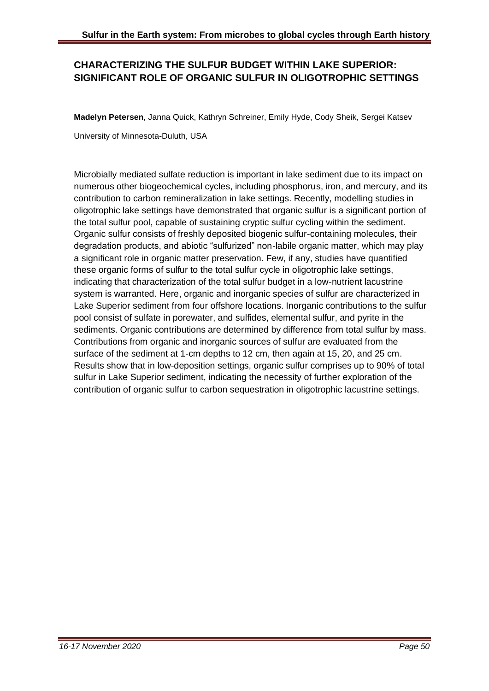## **CHARACTERIZING THE SULFUR BUDGET WITHIN LAKE SUPERIOR: SIGNIFICANT ROLE OF ORGANIC SULFUR IN OLIGOTROPHIC SETTINGS**

**Madelyn Petersen**, Janna Quick, Kathryn Schreiner, Emily Hyde, Cody Sheik, Sergei Katsev

University of Minnesota-Duluth, USA

Microbially mediated sulfate reduction is important in lake sediment due to its impact on numerous other biogeochemical cycles, including phosphorus, iron, and mercury, and its contribution to carbon remineralization in lake settings. Recently, modelling studies in oligotrophic lake settings have demonstrated that organic sulfur is a significant portion of the total sulfur pool, capable of sustaining cryptic sulfur cycling within the sediment. Organic sulfur consists of freshly deposited biogenic sulfur-containing molecules, their degradation products, and abiotic "sulfurized" non-labile organic matter, which may play a significant role in organic matter preservation. Few, if any, studies have quantified these organic forms of sulfur to the total sulfur cycle in oligotrophic lake settings, indicating that characterization of the total sulfur budget in a low-nutrient lacustrine system is warranted. Here, organic and inorganic species of sulfur are characterized in Lake Superior sediment from four offshore locations. Inorganic contributions to the sulfur pool consist of sulfate in porewater, and sulfides, elemental sulfur, and pyrite in the sediments. Organic contributions are determined by difference from total sulfur by mass. Contributions from organic and inorganic sources of sulfur are evaluated from the surface of the sediment at 1-cm depths to 12 cm, then again at 15, 20, and 25 cm. Results show that in low-deposition settings, organic sulfur comprises up to 90% of total sulfur in Lake Superior sediment, indicating the necessity of further exploration of the contribution of organic sulfur to carbon sequestration in oligotrophic lacustrine settings.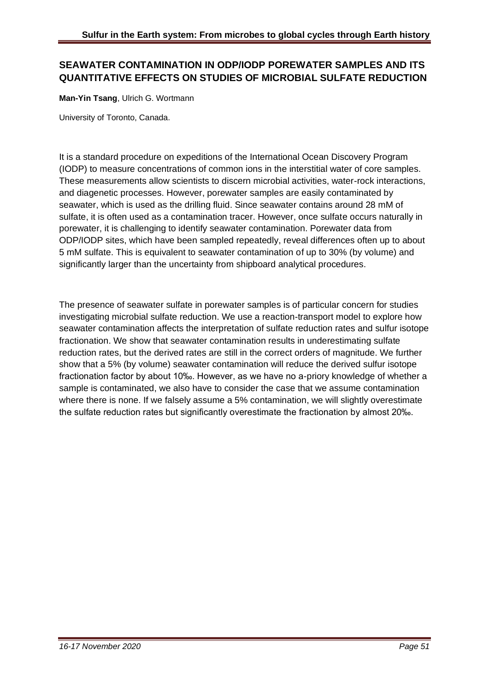## **SEAWATER CONTAMINATION IN ODP/IODP POREWATER SAMPLES AND ITS QUANTITATIVE EFFECTS ON STUDIES OF MICROBIAL SULFATE REDUCTION**

**Man-Yin Tsang**, Ulrich G. Wortmann

University of Toronto, Canada.

It is a standard procedure on expeditions of the International Ocean Discovery Program (IODP) to measure concentrations of common ions in the interstitial water of core samples. These measurements allow scientists to discern microbial activities, water-rock interactions, and diagenetic processes. However, porewater samples are easily contaminated by seawater, which is used as the drilling fluid. Since seawater contains around 28 mM of sulfate, it is often used as a contamination tracer. However, once sulfate occurs naturally in porewater, it is challenging to identify seawater contamination. Porewater data from ODP/IODP sites, which have been sampled repeatedly, reveal differences often up to about 5 mM sulfate. This is equivalent to seawater contamination of up to 30% (by volume) and significantly larger than the uncertainty from shipboard analytical procedures.

The presence of seawater sulfate in porewater samples is of particular concern for studies investigating microbial sulfate reduction. We use a reaction-transport model to explore how seawater contamination affects the interpretation of sulfate reduction rates and sulfur isotope fractionation. We show that seawater contamination results in underestimating sulfate reduction rates, but the derived rates are still in the correct orders of magnitude. We further show that a 5% (by volume) seawater contamination will reduce the derived sulfur isotope fractionation factor by about 10‰. However, as we have no a-priory knowledge of whether a sample is contaminated, we also have to consider the case that we assume contamination where there is none. If we falsely assume a 5% contamination, we will slightly overestimate the sulfate reduction rates but significantly overestimate the fractionation by almost 20‰.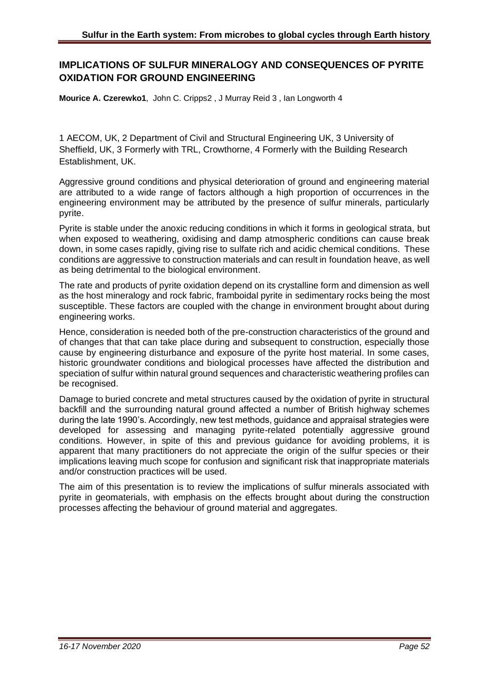## **IMPLICATIONS OF SULFUR MINERALOGY AND CONSEQUENCES OF PYRITE OXIDATION FOR GROUND ENGINEERING**

**Mourice A. Czerewko1**, John C. Cripps2 , J Murray Reid 3 , Ian Longworth 4

1 AECOM, UK, 2 Department of Civil and Structural Engineering UK, 3 University of Sheffield, UK, 3 Formerly with TRL, Crowthorne, 4 Formerly with the Building Research Establishment, UK.

Aggressive ground conditions and physical deterioration of ground and engineering material are attributed to a wide range of factors although a high proportion of occurrences in the engineering environment may be attributed by the presence of sulfur minerals, particularly pyrite.

Pyrite is stable under the anoxic reducing conditions in which it forms in geological strata, but when exposed to weathering, oxidising and damp atmospheric conditions can cause break down, in some cases rapidly, giving rise to sulfate rich and acidic chemical conditions. These conditions are aggressive to construction materials and can result in foundation heave, as well as being detrimental to the biological environment.

The rate and products of pyrite oxidation depend on its crystalline form and dimension as well as the host mineralogy and rock fabric, framboidal pyrite in sedimentary rocks being the most susceptible. These factors are coupled with the change in environment brought about during engineering works.

Hence, consideration is needed both of the pre-construction characteristics of the ground and of changes that that can take place during and subsequent to construction, especially those cause by engineering disturbance and exposure of the pyrite host material. In some cases, historic groundwater conditions and biological processes have affected the distribution and speciation of sulfur within natural ground sequences and characteristic weathering profiles can be recognised.

Damage to buried concrete and metal structures caused by the oxidation of pyrite in structural backfill and the surrounding natural ground affected a number of British highway schemes during the late 1990's. Accordingly, new test methods, guidance and appraisal strategies were developed for assessing and managing pyrite-related potentially aggressive ground conditions. However, in spite of this and previous guidance for avoiding problems, it is apparent that many practitioners do not appreciate the origin of the sulfur species or their implications leaving much scope for confusion and significant risk that inappropriate materials and/or construction practices will be used.

The aim of this presentation is to review the implications of sulfur minerals associated with pyrite in geomaterials, with emphasis on the effects brought about during the construction processes affecting the behaviour of ground material and aggregates.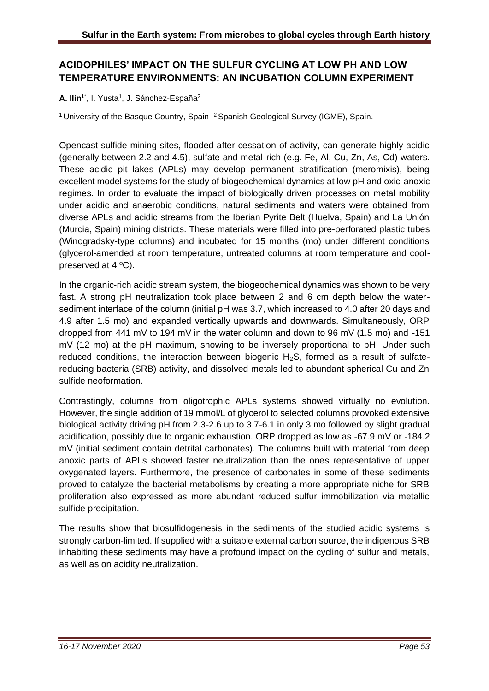## **ACIDOPHILES' IMPACT ON THE SULFUR CYCLING AT LOW PH AND LOW TEMPERATURE ENVIRONMENTS: AN INCUBATION COLUMN EXPERIMENT**

A. Ilin<sup>1\*</sup>, I. Yusta<sup>1</sup>, J. Sánchez-España<sup>2</sup>

<sup>1</sup> University of the Basque Country, Spain <sup>2</sup> Spanish Geological Survey (IGME), Spain.

Opencast sulfide mining sites, flooded after cessation of activity, can generate highly acidic (generally between 2.2 and 4.5), sulfate and metal-rich (e.g. Fe, Al, Cu, Zn, As, Cd) waters. These acidic pit lakes (APLs) may develop permanent stratification (meromixis), being excellent model systems for the study of biogeochemical dynamics at low pH and oxic-anoxic regimes. In order to evaluate the impact of biologically driven processes on metal mobility under acidic and anaerobic conditions, natural sediments and waters were obtained from diverse APLs and acidic streams from the Iberian Pyrite Belt (Huelva, Spain) and La Unión (Murcia, Spain) mining districts. These materials were filled into pre-perforated plastic tubes (Winogradsky-type columns) and incubated for 15 months (mo) under different conditions (glycerol-amended at room temperature, untreated columns at room temperature and coolpreserved at 4 ºC).

In the organic-rich acidic stream system, the biogeochemical dynamics was shown to be very fast. A strong pH neutralization took place between 2 and 6 cm depth below the watersediment interface of the column (initial pH was 3.7, which increased to 4.0 after 20 days and 4.9 after 1.5 mo) and expanded vertically upwards and downwards. Simultaneously, ORP dropped from 441 mV to 194 mV in the water column and down to 96 mV (1.5 mo) and -151 mV (12 mo) at the pH maximum, showing to be inversely proportional to pH. Under such reduced conditions, the interaction between biogenic  $H_2S$ , formed as a result of sulfatereducing bacteria (SRB) activity, and dissolved metals led to abundant spherical Cu and Zn sulfide neoformation.

Contrastingly, columns from oligotrophic APLs systems showed virtually no evolution. However, the single addition of 19 mmol/L of glycerol to selected columns provoked extensive biological activity driving pH from 2.3-2.6 up to 3.7-6.1 in only 3 mo followed by slight gradual acidification, possibly due to organic exhaustion. ORP dropped as low as -67.9 mV or -184.2 mV (initial sediment contain detrital carbonates). The columns built with material from deep anoxic parts of APLs showed faster neutralization than the ones representative of upper oxygenated layers. Furthermore, the presence of carbonates in some of these sediments proved to catalyze the bacterial metabolisms by creating a more appropriate niche for SRB proliferation also expressed as more abundant reduced sulfur immobilization via metallic sulfide precipitation.

The results show that biosulfidogenesis in the sediments of the studied acidic systems is strongly carbon-limited. If supplied with a suitable external carbon source, the indigenous SRB inhabiting these sediments may have a profound impact on the cycling of sulfur and metals, as well as on acidity neutralization.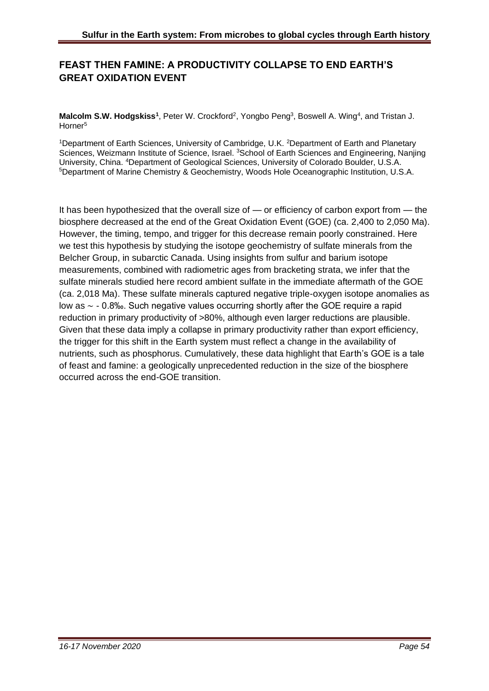## **FEAST THEN FAMINE: A PRODUCTIVITY COLLAPSE TO END EARTH'S GREAT OXIDATION EVENT**

Malcolm S.W. Hodgskiss<sup>1</sup>, Peter W. Crockford<sup>2</sup>, Yongbo Peng<sup>3</sup>, Boswell A. Wing<sup>4</sup>, and Tristan J. Horner<sup>5</sup>

<sup>1</sup>Department of Earth Sciences, University of Cambridge, U.K. <sup>2</sup>Department of Earth and Planetary Sciences, Weizmann Institute of Science, Israel. <sup>3</sup>School of Earth Sciences and Engineering, Nanjing University, China. <sup>4</sup>Department of Geological Sciences, University of Colorado Boulder, U.S.A. <sup>5</sup>Department of Marine Chemistry & Geochemistry, Woods Hole Oceanographic Institution, U.S.A.

It has been hypothesized that the overall size of — or efficiency of carbon export from — the biosphere decreased at the end of the Great Oxidation Event (GOE) (ca. 2,400 to 2,050 Ma). However, the timing, tempo, and trigger for this decrease remain poorly constrained. Here we test this hypothesis by studying the isotope geochemistry of sulfate minerals from the Belcher Group, in subarctic Canada. Using insights from sulfur and barium isotope measurements, combined with radiometric ages from bracketing strata, we infer that the sulfate minerals studied here record ambient sulfate in the immediate aftermath of the GOE (ca. 2,018 Ma). These sulfate minerals captured negative triple-oxygen isotope anomalies as low as ∼ - 0.8‰. Such negative values occurring shortly after the GOE require a rapid reduction in primary productivity of >80%, although even larger reductions are plausible. Given that these data imply a collapse in primary productivity rather than export efficiency, the trigger for this shift in the Earth system must reflect a change in the availability of nutrients, such as phosphorus. Cumulatively, these data highlight that Earth's GOE is a tale of feast and famine: a geologically unprecedented reduction in the size of the biosphere occurred across the end-GOE transition.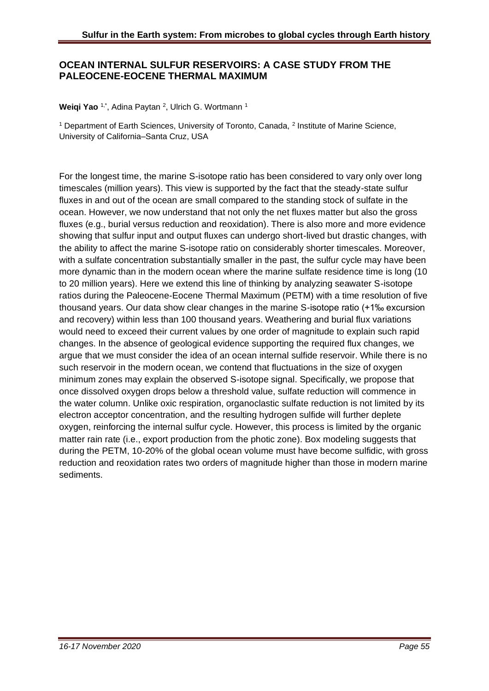#### **OCEAN INTERNAL SULFUR RESERVOIRS: A CASE STUDY FROM THE PALEOCENE-EOCENE THERMAL MAXIMUM**

#### Weiqi Yao <sup>1,\*</sup>, Adina Paytan <sup>2</sup>, Ulrich G. Wortmann <sup>1</sup>

<sup>1</sup> Department of Earth Sciences, University of Toronto, Canada, <sup>2</sup> Institute of Marine Science, University of California–Santa Cruz, USA

For the longest time, the marine S-isotope ratio has been considered to vary only over long timescales (million years). This view is supported by the fact that the steady-state sulfur fluxes in and out of the ocean are small compared to the standing stock of sulfate in the ocean. However, we now understand that not only the net fluxes matter but also the gross fluxes (e.g., burial versus reduction and reoxidation). There is also more and more evidence showing that sulfur input and output fluxes can undergo short-lived but drastic changes, with the ability to affect the marine S-isotope ratio on considerably shorter timescales. Moreover, with a sulfate concentration substantially smaller in the past, the sulfur cycle may have been more dynamic than in the modern ocean where the marine sulfate residence time is long (10 to 20 million years). Here we extend this line of thinking by analyzing seawater S-isotope ratios during the Paleocene-Eocene Thermal Maximum (PETM) with a time resolution of five thousand years. Our data show clear changes in the marine S-isotope ratio (+1‰ excursion and recovery) within less than 100 thousand years. Weathering and burial flux variations would need to exceed their current values by one order of magnitude to explain such rapid changes. In the absence of geological evidence supporting the required flux changes, we argue that we must consider the idea of an ocean internal sulfide reservoir. While there is no such reservoir in the modern ocean, we contend that fluctuations in the size of oxygen minimum zones may explain the observed S-isotope signal. Specifically, we propose that once dissolved oxygen drops below a threshold value, sulfate reduction will commence in the water column. Unlike oxic respiration, organoclastic sulfate reduction is not limited by its electron acceptor concentration, and the resulting hydrogen sulfide will further deplete oxygen, reinforcing the internal sulfur cycle. However, this process is limited by the organic matter rain rate (i.e., export production from the photic zone). Box modeling suggests that during the PETM, 10-20% of the global ocean volume must have become sulfidic, with gross reduction and reoxidation rates two orders of magnitude higher than those in modern marine sediments.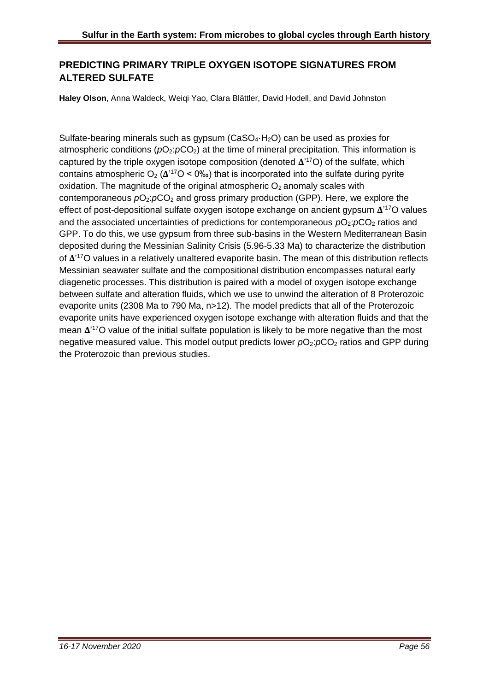## **PREDICTING PRIMARY TRIPLE OXYGEN ISOTOPE SIGNATURES FROM ALTERED SULFATE**

**Haley Olson**, Anna Waldeck, Weigi Yao, Clara Blättler, David Hodell, and David Johnston

Sulfate-bearing minerals such as gypsum ( $CaSO<sub>4</sub>·H<sub>2</sub>O$ ) can be used as proxies for atmospheric conditions ( $pO_2$ : $pCO_2$ ) at the time of mineral precipitation. This information is captured by the triple oxygen isotope composition (denoted  $\Delta^{17}O$ ) of the sulfate, which contains atmospheric  $O_2(\Delta^{17}O < 0\%)$  that is incorporated into the sulfate during pyrite oxidation. The magnitude of the original atmospheric  $O_2$  anomaly scales with contemporaneous  $pO_2$ : $pCO_2$  and gross primary production (GPP). Here, we explore the effect of post-depositional sulfate oxygen isotope exchange on ancient gypsum  $\Delta$ <sup>17</sup>O values and the associated uncertainties of predictions for contemporaneous  $pO_2$ : $pCO_2$  ratios and GPP. To do this, we use gypsum from three sub-basins in the Western Mediterranean Basin deposited during the Messinian Salinity Crisis (5.96-5.33 Ma) to characterize the distribution of  $\Delta$ <sup>17</sup>O values in a relatively unaltered evaporite basin. The mean of this distribution reflects Messinian seawater sulfate and the compositional distribution encompasses natural early diagenetic processes. This distribution is paired with a model of oxygen isotope exchange between sulfate and alteration fluids, which we use to unwind the alteration of 8 Proterozoic evaporite units (2308 Ma to 790 Ma, n>12). The model predicts that all of the Proterozoic evaporite units have experienced oxygen isotope exchange with alteration fluids and that the mean  $\Delta$ <sup>17</sup>O value of the initial sulfate population is likely to be more negative than the most negative measured value. This model output predicts lower  $pO_2$ :  $pCO_2$  ratios and GPP during the Proterozoic than previous studies.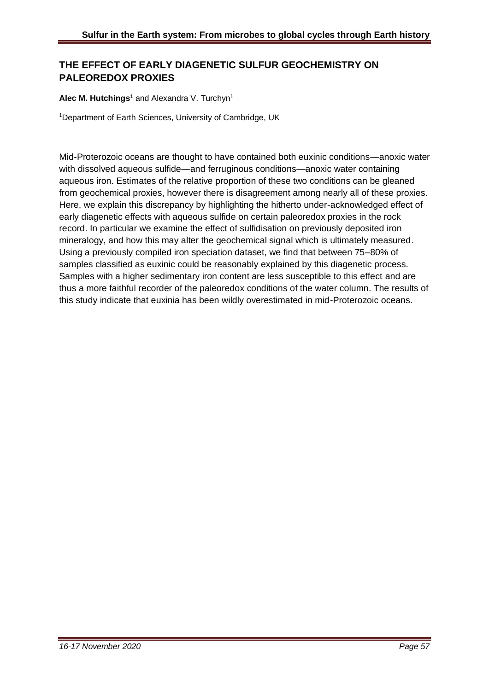## **THE EFFECT OF EARLY DIAGENETIC SULFUR GEOCHEMISTRY ON PALEOREDOX PROXIES**

#### **Alec M. Hutchings<sup>1</sup>** and Alexandra V. Turchyn<sup>1</sup>

<sup>1</sup>Department of Earth Sciences, University of Cambridge, UK

Mid-Proterozoic oceans are thought to have contained both euxinic conditions—anoxic water with dissolved aqueous sulfide—and ferruginous conditions—anoxic water containing aqueous iron. Estimates of the relative proportion of these two conditions can be gleaned from geochemical proxies, however there is disagreement among nearly all of these proxies. Here, we explain this discrepancy by highlighting the hitherto under-acknowledged effect of early diagenetic effects with aqueous sulfide on certain paleoredox proxies in the rock record. In particular we examine the effect of sulfidisation on previously deposited iron mineralogy, and how this may alter the geochemical signal which is ultimately measured. Using a previously compiled iron speciation dataset, we find that between 75–80% of samples classified as euxinic could be reasonably explained by this diagenetic process. Samples with a higher sedimentary iron content are less susceptible to this effect and are thus a more faithful recorder of the paleoredox conditions of the water column. The results of this study indicate that euxinia has been wildly overestimated in mid-Proterozoic oceans.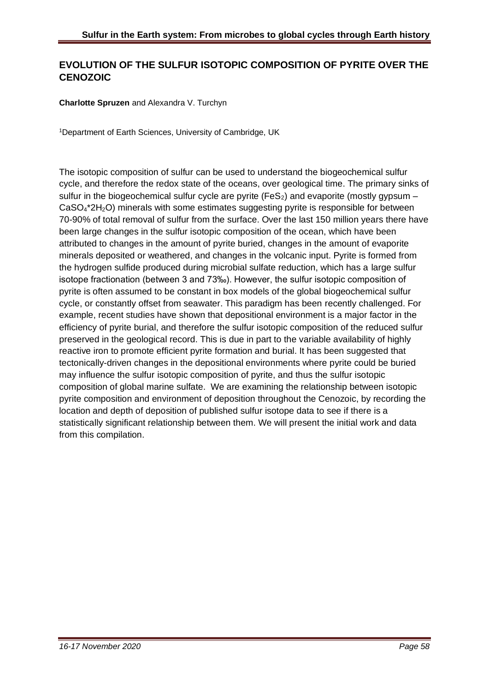## **EVOLUTION OF THE SULFUR ISOTOPIC COMPOSITION OF PYRITE OVER THE CENOZOIC**

#### **Charlotte Spruzen** and Alexandra V. Turchyn

<sup>1</sup>Department of Earth Sciences, University of Cambridge, UK

The isotopic composition of sulfur can be used to understand the biogeochemical sulfur cycle, and therefore the redox state of the oceans, over geological time. The primary sinks of sulfur in the biogeochemical sulfur cycle are pyrite (FeS<sub>2</sub>) and evaporite (mostly gypsum – CaSO4\*2H2O) minerals with some estimates suggesting pyrite is responsible for between 70-90% of total removal of sulfur from the surface. Over the last 150 million years there have been large changes in the sulfur isotopic composition of the ocean, which have been attributed to changes in the amount of pyrite buried, changes in the amount of evaporite minerals deposited or weathered, and changes in the volcanic input. Pyrite is formed from the hydrogen sulfide produced during microbial sulfate reduction, which has a large sulfur isotope fractionation (between 3 and 73‰). However, the sulfur isotopic composition of pyrite is often assumed to be constant in box models of the global biogeochemical sulfur cycle, or constantly offset from seawater. This paradigm has been recently challenged. For example, recent studies have shown that depositional environment is a major factor in the efficiency of pyrite burial, and therefore the sulfur isotopic composition of the reduced sulfur preserved in the geological record. This is due in part to the variable availability of highly reactive iron to promote efficient pyrite formation and burial. It has been suggested that tectonically-driven changes in the depositional environments where pyrite could be buried may influence the sulfur isotopic composition of pyrite, and thus the sulfur isotopic composition of global marine sulfate. We are examining the relationship between isotopic pyrite composition and environment of deposition throughout the Cenozoic, by recording the location and depth of deposition of published sulfur isotope data to see if there is a statistically significant relationship between them. We will present the initial work and data from this compilation.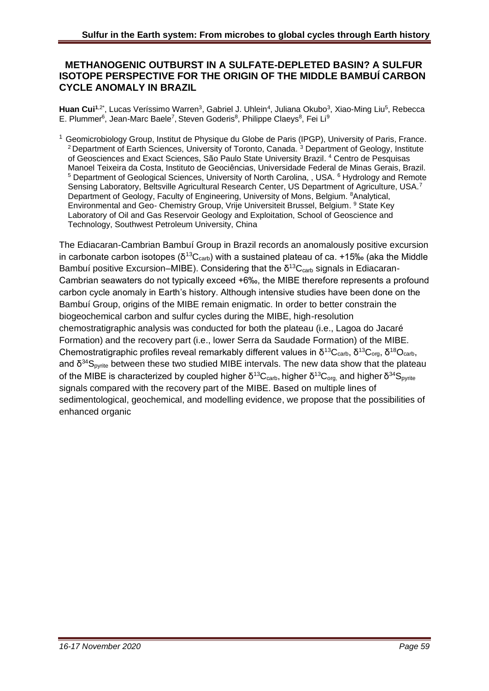#### **METHANOGENIC OUTBURST IN A SULFATE-DEPLETED BASIN? A SULFUR ISOTOPE PERSPECTIVE FOR THE ORIGIN OF THE MIDDLE BAMBUÍ CARBON CYCLE ANOMALY IN BRAZIL**

Huan Cui<sup>1,2\*</sup>, Lucas Veríssimo Warren<sup>3</sup>, Gabriel J. Uhlein<sup>4</sup>, Juliana Okubo<sup>3</sup>, Xiao-Ming Liu<sup>5</sup>, Rebecca E. Plummer<sup>6</sup>, Jean-Marc Baele<sup>7</sup>, Steven Goderis<sup>8</sup>, Philippe Claeys<sup>8</sup>, Fei Li<sup>9</sup>

<sup>1</sup> Geomicrobiology Group, Institut de Physique du Globe de Paris (IPGP), University of Paris, France. <sup>2</sup> Department of Earth Sciences, University of Toronto, Canada.  $3$  Department of Geology, Institute of Geosciences and Exact Sciences, São Paulo State University Brazil. <sup>4</sup> Centro de Pesquisas Manoel Teixeira da Costa, Instituto de Geociências, Universidade Federal de Minas Gerais, Brazil. <sup>5</sup> Department of Geological Sciences, University of North Carolina, , USA. <sup>6</sup> Hydrology and Remote Sensing Laboratory, Beltsville Agricultural Research Center, US Department of Agriculture, USA.<sup>7</sup> Department of Geology, Faculty of Engineering, University of Mons, Belgium. <sup>8</sup>Analytical, Environmental and Geo- Chemistry Group, Vrije Universiteit Brussel, Belgium. <sup>9</sup> State Key Laboratory of Oil and Gas Reservoir Geology and Exploitation, School of Geoscience and Technology, Southwest Petroleum University, China

The Ediacaran-Cambrian Bambuí Group in Brazil records an anomalously positive excursion in carbonate carbon isotopes (δ<sup>13</sup>C<sub>carb</sub>) with a sustained plateau of ca. +15‰ (aka the Middle Bambuí positive Excursion–MIBE). Considering that the  $\delta^{13}C_{\text{cath}}$  signals in Ediacaran-Cambrian seawaters do not typically exceed +6‰, the MIBE therefore represents a profound carbon cycle anomaly in Earth's history. Although intensive studies have been done on the Bambuí Group, origins of the MIBE remain enigmatic. In order to better constrain the biogeochemical carbon and sulfur cycles during the MIBE, high-resolution chemostratigraphic analysis was conducted for both the plateau (i.e., Lagoa do Jacaré Formation) and the recovery part (i.e., lower Serra da Saudade Formation) of the MIBE. Chemostratigraphic profiles reveal remarkably different values in δ<sup>13</sup>C<sub>carb</sub>, δ<sup>13</sup>C<sub>org</sub>, δ<sup>18</sup>O<sub>carb</sub>, and  $\delta^{34}S_{\text{ovrite}}$  between these two studied MIBE intervals. The new data show that the plateau of the MIBE is characterized by coupled higher δ<sup>13</sup>C<sub>carb</sub>, higher δ<sup>13</sup>C<sub>org,</sub> and higher δ<sup>34</sup>S<sub>pyrite</sub> signals compared with the recovery part of the MIBE. Based on multiple lines of sedimentological, geochemical, and modelling evidence, we propose that the possibilities of enhanced organic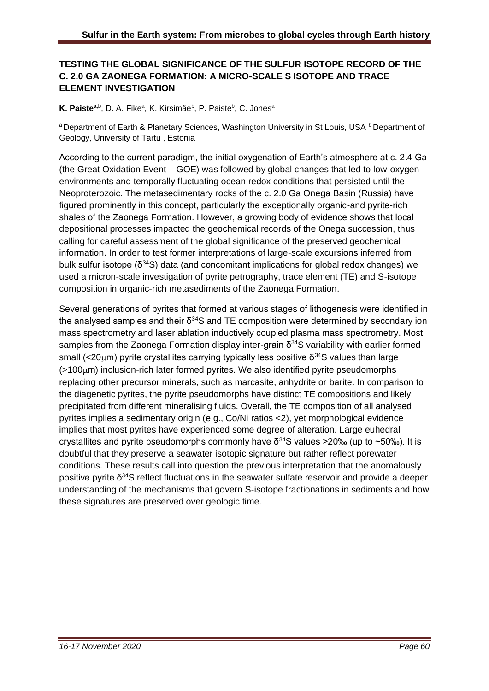#### **TESTING THE GLOBAL SIGNIFICANCE OF THE SULFUR ISOTOPE RECORD OF THE C. 2.0 GA ZAONEGA FORMATION: A MICRO-SCALE S ISOTOPE AND TRACE ELEMENT INVESTIGATION**

K. Paiste<sup>a,b</sup>, D. A. Fike<sup>a</sup>, K. Kirsimäe<sup>b</sup>, P. Paiste<sup>b</sup>, C. Jones<sup>a</sup>

a Department of Earth & Planetary Sciences, Washington University in St Louis, USA **b** Department of Geology, University of Tartu , Estonia

According to the current paradigm, the initial oxygenation of Earth's atmosphere at c. 2.4 Ga (the Great Oxidation Event – GOE) was followed by global changes that led to low-oxygen environments and temporally fluctuating ocean redox conditions that persisted until the Neoproterozoic. The metasedimentary rocks of the c. 2.0 Ga Onega Basin (Russia) have figured prominently in this concept, particularly the exceptionally organic-and pyrite-rich shales of the Zaonega Formation. However, a growing body of evidence shows that local depositional processes impacted the geochemical records of the Onega succession, thus calling for careful assessment of the global significance of the preserved geochemical information. In order to test former interpretations of large-scale excursions inferred from bulk sulfur isotope ( $\delta^{34}S$ ) data (and concomitant implications for global redox changes) we used a micron-scale investigation of pyrite petrography, trace element (TE) and S-isotope composition in organic-rich metasediments of the Zaonega Formation.

Several generations of pyrites that formed at various stages of lithogenesis were identified in the analysed samples and their  $\delta^{34}$ S and TE composition were determined by secondary ion mass spectrometry and laser ablation inductively coupled plasma mass spectrometry. Most samples from the Zaonega Formation display inter-grain  $\delta^{34}$ S variability with earlier formed small ( $<$ 20 $\mu$ m) pyrite crystallites carrying typically less positive  $\delta$ <sup>34</sup>S values than large  $($ >100 $\mu$ m) inclusion-rich later formed pyrites. We also identified pyrite pseudomorphs replacing other precursor minerals, such as marcasite, anhydrite or barite. In comparison to the diagenetic pyrites, the pyrite pseudomorphs have distinct TE compositions and likely precipitated from different mineralising fluids. Overall, the TE composition of all analysed pyrites implies a sedimentary origin (e.g., Co/Ni ratios <2), yet morphological evidence implies that most pyrites have experienced some degree of alteration. Large euhedral crystallites and pyrite pseudomorphs commonly have  $\delta^{34}$ S values >20‰ (up to ~50‰). It is doubtful that they preserve a seawater isotopic signature but rather reflect porewater conditions. These results call into question the previous interpretation that the anomalously positive pyrite  $\delta^{34}$ S reflect fluctuations in the seawater sulfate reservoir and provide a deeper understanding of the mechanisms that govern S-isotope fractionations in sediments and how these signatures are preserved over geologic time.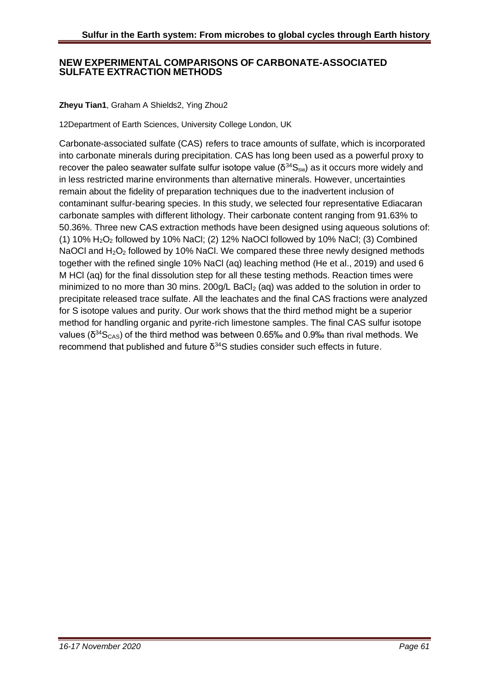#### **NEW EXPERIMENTAL COMPARISONS OF CARBONATE-ASSOCIATED SULFATE EXTRACTION METHODS**

#### **Zheyu Tian1**, Graham A Shields2, Ying Zhou2

12Department of Earth Sciences, University College London, UK

Carbonate-associated sulfate (CAS) refers to trace amounts of sulfate, which is incorporated into carbonate minerals during precipitation. CAS has long been used as a powerful proxy to recover the paleo seawater sulfate sulfur isotope value ( $\delta^{34}S_{\rm sw}$ ) as it occurs more widely and in less restricted marine environments than alternative minerals. However, uncertainties remain about the fidelity of preparation techniques due to the inadvertent inclusion of contaminant sulfur-bearing species. In this study, we selected four representative Ediacaran carbonate samples with different lithology. Their carbonate content ranging from 91.63% to 50.36%. Three new CAS extraction methods have been designed using aqueous solutions of: (1)  $10\%$  H<sub>2</sub>O<sub>2</sub> followed by 10% NaCl; (2)  $12\%$  NaOCl followed by 10% NaCl; (3) Combined NaOCI and H<sub>2</sub>O<sub>2</sub> followed by 10% NaCI. We compared these three newly designed methods together with the refined single 10% NaCl (aq) leaching method (He et al., 2019) and used 6 M HCl (aq) for the final dissolution step for all these testing methods. Reaction times were minimized to no more than 30 mins. 200g/L BaCl<sub>2</sub> (aq) was added to the solution in order to precipitate released trace sulfate. All the leachates and the final CAS fractions were analyzed for S isotope values and purity. Our work shows that the third method might be a superior method for handling organic and pyrite-rich limestone samples. The final CAS sulfur isotope values ( $δ<sup>34</sup>S<sub>CAS</sub>$ ) of the third method was between 0.65‰ and 0.9‰ than rival methods. We recommend that published and future  $δ<sup>34</sup>S$  studies consider such effects in future.